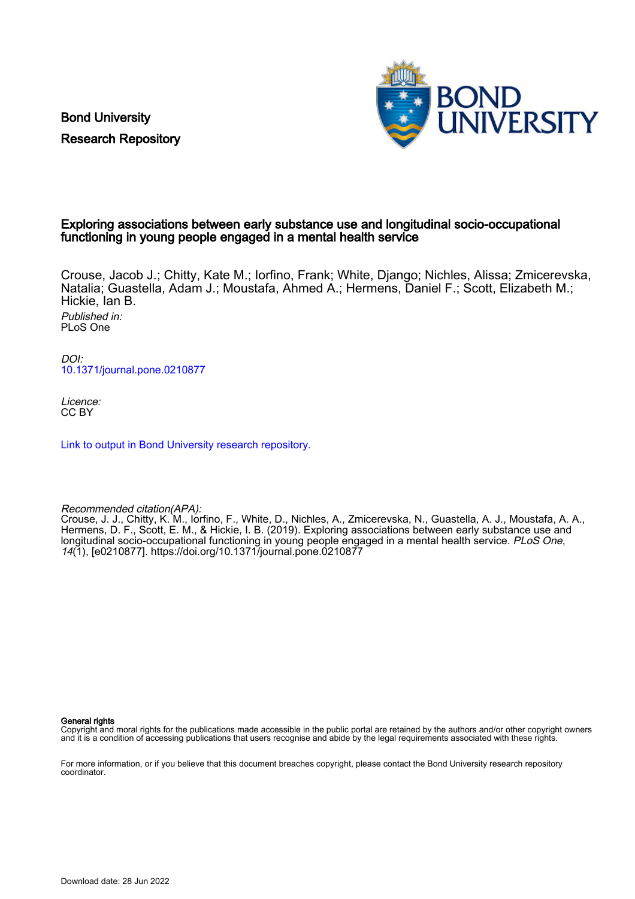Bond University Research Repository



## Exploring associations between early substance use and longitudinal socio-occupational functioning in young people engaged in a mental health service

Crouse, Jacob J.; Chitty, Kate M.; Iorfino, Frank; White, Django; Nichles, Alissa; Zmicerevska, Natalia; Guastella, Adam J.; Moustafa, Ahmed A.; Hermens, Daniel F.; Scott, Elizabeth M.; Hickie, Ian B.

Published in: PLoS One

DOI: [10.1371/journal.pone.0210877](https://doi.org/10.1371/journal.pone.0210877)

Licence: CC BY

[Link to output in Bond University research repository.](https://research.bond.edu.au/en/publications/33ff8cbc-19b9-4a02-9a75-74a27dbdcf34)

Recommended citation(APA):

Crouse, J. J., Chitty, K. M., Iorfino, F., White, D., Nichles, A., Zmicerevska, N., Guastella, A. J., Moustafa, A. A., Hermens, D. F., Scott, E. M., & Hickie, I. B. (2019). Exploring associations between early substance use and longitudinal socio-occupational functioning in young people engaged in a mental health service. PLoS One, 14(1), [e0210877].<https://doi.org/10.1371/journal.pone.0210877>

General rights

Copyright and moral rights for the publications made accessible in the public portal are retained by the authors and/or other copyright owners and it is a condition of accessing publications that users recognise and abide by the legal requirements associated with these rights.

For more information, or if you believe that this document breaches copyright, please contact the Bond University research repository coordinator.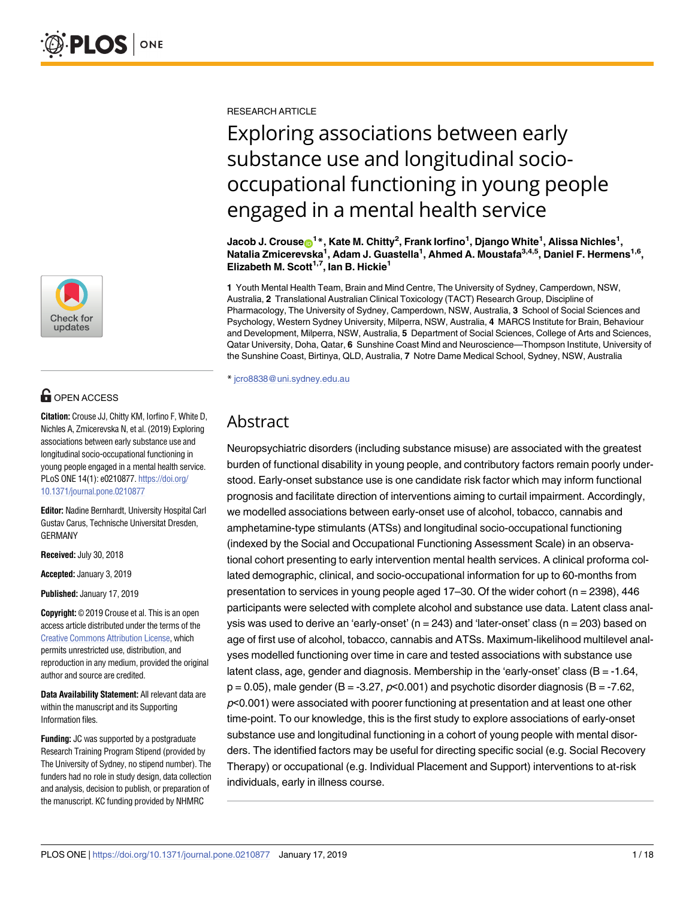

# **OPEN ACCESS**

**Citation:** Crouse JJ, Chitty KM, Iorfino F, White D, Nichles A, Zmicerevska N, et al. (2019) Exploring associations between early substance use and longitudinal socio-occupational functioning in young people engaged in a mental health service. PLoS ONE 14(1): e0210877. [https://doi.org/](https://doi.org/10.1371/journal.pone.0210877) [10.1371/journal.pone.0210877](https://doi.org/10.1371/journal.pone.0210877)

**Editor:** Nadine Bernhardt, University Hospital Carl Gustav Carus, Technische Universitat Dresden, GERMANY

**Received:** July 30, 2018

**Accepted:** January 3, 2019

**Published:** January 17, 2019

**Copyright:** © 2019 Crouse et al. This is an open access article distributed under the terms of the Creative Commons [Attribution](http://creativecommons.org/licenses/by/4.0/) License, which permits unrestricted use, distribution, and reproduction in any medium, provided the original author and source are credited.

**Data Availability Statement:** All relevant data are within the manuscript and its Supporting Information files.

**Funding:** JC was supported by a postgraduate Research Training Program Stipend (provided by The University of Sydney, no stipend number). The funders had no role in study design, data collection and analysis, decision to publish, or preparation of the manuscript. KC funding provided by NHMRC

RESEARCH ARTICLE

# Exploring associations between early substance use and longitudinal sociooccupational functioning in young people engaged in a mental health service

 $\bm{b}$  J. Crouse $\bm{\Theta}^{\bm{1}*},$  Kate M. Chitty $^{\bm{2}},$  Frank lorfino $^{\bm{1}},$  Django White $^{\bm{1}},$  Alissa Nichles $^{\bm{1}},$ **Natalia Zmicerevska1 , Adam J. Guastella1 , Ahmed A. Moustafa3,4,5, Daniel F. Hermens1,6, Elizabeth M. Scott<sup>1,7</sup>, Ian B. Hickie<sup>1</sup>** 

**1** Youth Mental Health Team, Brain and Mind Centre, The University of Sydney, Camperdown, NSW, Australia, **2** Translational Australian Clinical Toxicology (TACT) Research Group, Discipline of Pharmacology, The University of Sydney, Camperdown, NSW, Australia, **3** School of Social Sciences and Psychology, Western Sydney University, Milperra, NSW, Australia, **4** MARCS Institute for Brain, Behaviour and Development, Milperra, NSW, Australia, **5** Department of Social Sciences, College of Arts and Sciences, Qatar University, Doha, Qatar, **6** Sunshine Coast Mind and Neuroscience—Thompson Institute, University of the Sunshine Coast, Birtinya, QLD, Australia, **7** Notre Dame Medical School, Sydney, NSW, Australia

\* jcro8838@uni.sydney.edu.au

## Abstract

Neuropsychiatric disorders (including substance misuse) are associated with the greatest burden of functional disability in young people, and contributory factors remain poorly understood. Early-onset substance use is one candidate risk factor which may inform functional prognosis and facilitate direction of interventions aiming to curtail impairment. Accordingly, we modelled associations between early-onset use of alcohol, tobacco, cannabis and amphetamine-type stimulants (ATSs) and longitudinal socio-occupational functioning (indexed by the Social and Occupational Functioning Assessment Scale) in an observational cohort presenting to early intervention mental health services. A clinical proforma collated demographic, clinical, and socio-occupational information for up to 60-months from presentation to services in young people aged 17–30. Of the wider cohort (n = 2398), 446 participants were selected with complete alcohol and substance use data. Latent class analysis was used to derive an 'early-onset' (n = 243) and 'later-onset' class (n = 203) based on age of first use of alcohol, tobacco, cannabis and ATSs. Maximum-likelihood multilevel analyses modelled functioning over time in care and tested associations with substance use latent class, age, gender and diagnosis. Membership in the 'early-onset' class ( $B = -1.64$ ,  $p = 0.05$ ), male gender (B = -3.27,  $p \le 0.001$ ) and psychotic disorder diagnosis (B = -7.62,  $p$ <0.001) were associated with poorer functioning at presentation and at least one other time-point. To our knowledge, this is the first study to explore associations of early-onset substance use and longitudinal functioning in a cohort of young people with mental disorders. The identified factors may be useful for directing specific social (e.g. Social Recovery Therapy) or occupational (e.g. Individual Placement and Support) interventions to at-risk individuals, early in illness course.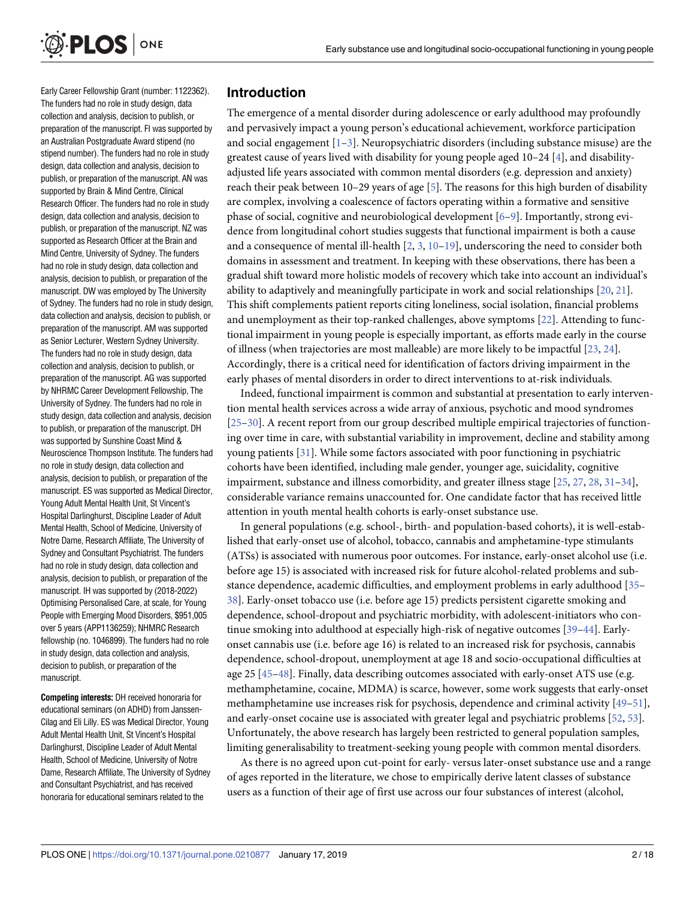<span id="page-2-0"></span>

Early Career Fellowship Grant (number: 1122362). The funders had no role in study design, data collection and analysis, decision to publish, or preparation of the manuscript. FI was supported by an Australian Postgraduate Award stipend (no stipend number). The funders had no role in study design, data collection and analysis, decision to publish, or preparation of the manuscript. AN was supported by Brain & Mind Centre, Clinical Research Officer. The funders had no role in study design, data collection and analysis, decision to publish, or preparation of the manuscript. NZ was supported as Research Officer at the Brain and Mind Centre, University of Sydney. The funders had no role in study design, data collection and analysis, decision to publish, or preparation of the manuscript. DW was employed by The University of Sydney. The funders had no role in study design, data collection and analysis, decision to publish, or preparation of the manuscript. AM was supported as Senior Lecturer, Western Sydney University. The funders had no role in study design, data collection and analysis, decision to publish, or preparation of the manuscript. AG was supported by NHRMC Career Development Fellowship, The University of Sydney. The funders had no role in study design, data collection and analysis, decision to publish, or preparation of the manuscript. DH was supported by Sunshine Coast Mind & Neuroscience Thompson Institute. The funders had no role in study design, data collection and analysis, decision to publish, or preparation of the manuscript. ES was supported as Medical Director, Young Adult Mental Health Unit, St Vincent's Hospital Darlinghurst, Discipline Leader of Adult Mental Health, School of Medicine, University of Notre Dame, Research Affiliate, The University of Sydney and Consultant Psychiatrist. The funders had no role in study design, data collection and analysis, decision to publish, or preparation of the manuscript. IH was supported by (2018-2022) Optimising Personalised Care, at scale, for Young People with Emerging Mood Disorders, \$951,005 over 5 years (APP1136259); NHMRC Research fellowship (no. 1046899). The funders had no role in study design, data collection and analysis, decision to publish, or preparation of the manuscript.

**Competing interests:** DH received honoraria for educational seminars (on ADHD) from Janssen-Cilag and Eli Lilly. ES was Medical Director, Young Adult Mental Health Unit, St Vincent's Hospital Darlinghurst, Discipline Leader of Adult Mental Health, School of Medicine, University of Notre Dame, Research Affiliate, The University of Sydney and Consultant Psychiatrist, and has received honoraria for educational seminars related to the

### **Introduction**

The emergence of a mental disorder during adolescence or early adulthood may profoundly and pervasively impact a young person's educational achievement, workforce participation and social engagement [1-3]. Neuropsychiatric disorders (including substance misuse) are the greatest cause of years lived with disability for young people aged 10–24 [[4](#page-12-0)], and disabilityadjusted life years associated with common mental disorders (e.g. depression and anxiety) reach their peak between 10–29 years of age [\[5](#page-12-0)]. The reasons for this high burden of disability are complex, involving a coalescence of factors operating within a formative and sensitive phase of social, cognitive and neurobiological development [\[6–](#page-12-0)[9\]](#page-13-0). Importantly, strong evidence from longitudinal cohort studies suggests that functional impairment is both a cause and a consequence of mental ill-health  $[2, 3, 10-19]$  $[2, 3, 10-19]$  $[2, 3, 10-19]$  $[2, 3, 10-19]$  $[2, 3, 10-19]$  $[2, 3, 10-19]$  $[2, 3, 10-19]$  $[2, 3, 10-19]$  $[2, 3, 10-19]$ , underscoring the need to consider both domains in assessment and treatment. In keeping with these observations, there has been a gradual shift toward more holistic models of recovery which take into account an individual's ability to adaptively and meaningfully participate in work and social relationships [[20](#page-13-0), [21](#page-13-0)]. This shift complements patient reports citing loneliness, social isolation, financial problems and unemployment as their top-ranked challenges, above symptoms [[22](#page-13-0)]. Attending to functional impairment in young people is especially important, as efforts made early in the course of illness (when trajectories are most malleable) are more likely to be impactful [[23](#page-13-0), [24](#page-13-0)]. Accordingly, there is a critical need for identification of factors driving impairment in the early phases of mental disorders in order to direct interventions to at-risk individuals.

Indeed, functional impairment is common and substantial at presentation to early intervention mental health services across a wide array of anxious, psychotic and mood syndromes [\[25](#page-13-0)[–30\]](#page-14-0). A recent report from our group described multiple empirical trajectories of functioning over time in care, with substantial variability in improvement, decline and stability among young patients [\[31\]](#page-14-0). While some factors associated with poor functioning in psychiatric cohorts have been identified, including male gender, younger age, suicidality, cognitive impairment, substance and illness comorbidity, and greater illness stage [[25](#page-13-0), [27](#page-14-0), [28](#page-14-0), [31–34\]](#page-14-0), considerable variance remains unaccounted for. One candidate factor that has received little attention in youth mental health cohorts is early-onset substance use.

In general populations (e.g. school-, birth- and population-based cohorts), it is well-established that early-onset use of alcohol, tobacco, cannabis and amphetamine-type stimulants (ATSs) is associated with numerous poor outcomes. For instance, early-onset alcohol use (i.e. before age 15) is associated with increased risk for future alcohol-related problems and substance dependence, academic difficulties, and employment problems in early adulthood [[35](#page-14-0)– [38\]](#page-14-0). Early-onset tobacco use (i.e. before age 15) predicts persistent cigarette smoking and dependence, school-dropout and psychiatric morbidity, with adolescent-initiators who continue smoking into adulthood at especially high-risk of negative outcomes [\[39–44\]](#page-14-0). Earlyonset cannabis use (i.e. before age 16) is related to an increased risk for psychosis, cannabis dependence, school-dropout, unemployment at age 18 and socio-occupational difficulties at age 25 [[45](#page-14-0)[–48\]](#page-15-0). Finally, data describing outcomes associated with early-onset ATS use (e.g. methamphetamine, cocaine, MDMA) is scarce, however, some work suggests that early-onset methamphetamine use increases risk for psychosis, dependence and criminal activity [[49](#page-15-0)–[51](#page-15-0)], and early-onset cocaine use is associated with greater legal and psychiatric problems [\[52,](#page-15-0) [53\]](#page-15-0). Unfortunately, the above research has largely been restricted to general population samples, limiting generalisability to treatment-seeking young people with common mental disorders.

As there is no agreed upon cut-point for early- versus later-onset substance use and a range of ages reported in the literature, we chose to empirically derive latent classes of substance users as a function of their age of first use across our four substances of interest (alcohol,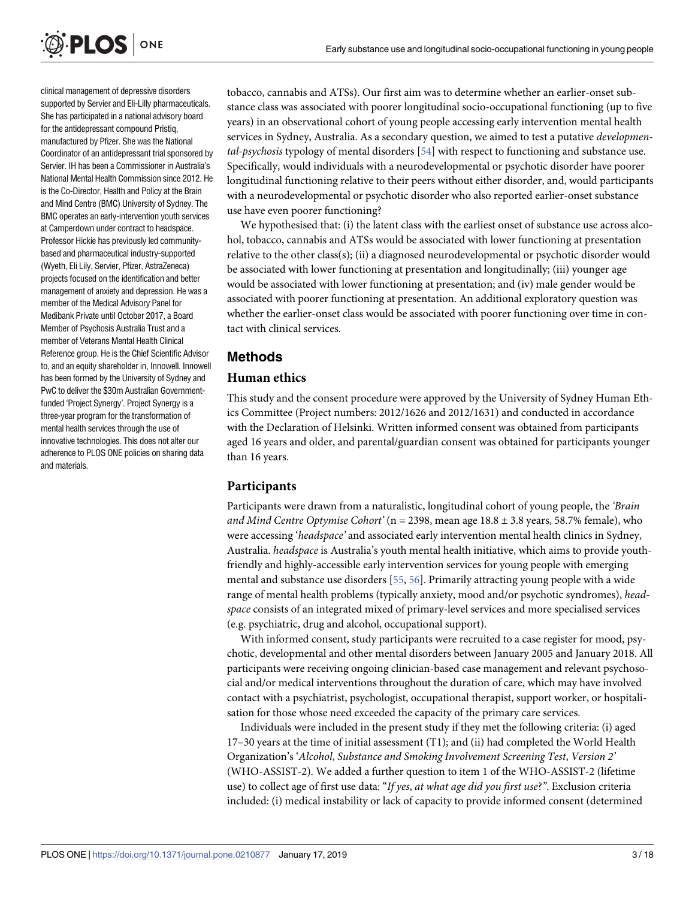<span id="page-3-0"></span>

clinical management of depressive disorders supported by Servier and Eli-Lilly pharmaceuticals. She has participated in a national advisory board for the antidepressant compound Pristiq, manufactured by Pfizer. She was the National Coordinator of an antidepressant trial sponsored by Servier. IH has been a Commissioner in Australia's National Mental Health Commission since 2012. He is the Co-Director, Health and Policy at the Brain and Mind Centre (BMC) University of Sydney. The BMC operates an early-intervention youth services at Camperdown under contract to headspace. Professor Hickie has previously led communitybased and pharmaceutical industry-supported (Wyeth, Eli Lily, Servier, Pfizer, AstraZeneca) projects focused on the identification and better management of anxiety and depression. He was a member of the Medical Advisory Panel for Medibank Private until October 2017, a Board Member of Psychosis Australia Trust and a member of Veterans Mental Health Clinical Reference group. He is the Chief Scientific Advisor to, and an equity shareholder in, Innowell. Innowell has been formed by the University of Sydney and PwC to deliver the \$30m Australian Governmentfunded 'Project Synergy'. Project Synergy is a three-year program for the transformation of mental health services through the use of innovative technologies. This does not alter our adherence to PLOS ONE policies on sharing data and materials.

tobacco, cannabis and ATSs). Our first aim was to determine whether an earlier-onset substance class was associated with poorer longitudinal socio-occupational functioning (up to five years) in an observational cohort of young people accessing early intervention mental health services in Sydney, Australia. As a secondary question, we aimed to test a putative *developmental-psychosis* typology of mental disorders [[54](#page-15-0)] with respect to functioning and substance use. Specifically, would individuals with a neurodevelopmental or psychotic disorder have poorer longitudinal functioning relative to their peers without either disorder, and, would participants with a neurodevelopmental or psychotic disorder who also reported earlier-onset substance use have even poorer functioning?

We hypothesised that: (i) the latent class with the earliest onset of substance use across alcohol, tobacco, cannabis and ATSs would be associated with lower functioning at presentation relative to the other class(s); (ii) a diagnosed neurodevelopmental or psychotic disorder would be associated with lower functioning at presentation and longitudinally; (iii) younger age would be associated with lower functioning at presentation; and (iv) male gender would be associated with poorer functioning at presentation. An additional exploratory question was whether the earlier-onset class would be associated with poorer functioning over time in contact with clinical services.

### **Methods**

#### **Human ethics**

This study and the consent procedure were approved by the University of Sydney Human Ethics Committee (Project numbers: 2012/1626 and 2012/1631) and conducted in accordance with the Declaration of Helsinki. Written informed consent was obtained from participants aged 16 years and older, and parental/guardian consent was obtained for participants younger than 16 years.

#### **Participants**

Participants were drawn from a naturalistic, longitudinal cohort of young people, the *'Brain and Mind Centre Optymise Cohort'* (n = 2398, mean age 18.8 ± 3.8 years, 58.7% female), who were accessing '*headspace'* and associated early intervention mental health clinics in Sydney, Australia. *headspace* is Australia's youth mental health initiative, which aims to provide youthfriendly and highly-accessible early intervention services for young people with emerging mental and substance use disorders [\[55,](#page-15-0) [56\]](#page-15-0). Primarily attracting young people with a wide range of mental health problems (typically anxiety, mood and/or psychotic syndromes), *headspace* consists of an integrated mixed of primary-level services and more specialised services (e.g. psychiatric, drug and alcohol, occupational support).

With informed consent, study participants were recruited to a case register for mood, psychotic, developmental and other mental disorders between January 2005 and January 2018. All participants were receiving ongoing clinician-based case management and relevant psychosocial and/or medical interventions throughout the duration of care, which may have involved contact with a psychiatrist, psychologist, occupational therapist, support worker, or hospitalisation for those whose need exceeded the capacity of the primary care services.

Individuals were included in the present study if they met the following criteria: (i) aged 17–30 years at the time of initial assessment (T1); and (ii) had completed the World Health Organization's '*Alcohol*, *Substance and Smoking Involvement Screening Test*, *Version 2'* (WHO-ASSIST-2). We added a further question to item 1 of the WHO-ASSIST-2 (lifetime use) to collect age of first use data: "*If yes*, *at what age did you first use*?*"*. Exclusion criteria included: (i) medical instability or lack of capacity to provide informed consent (determined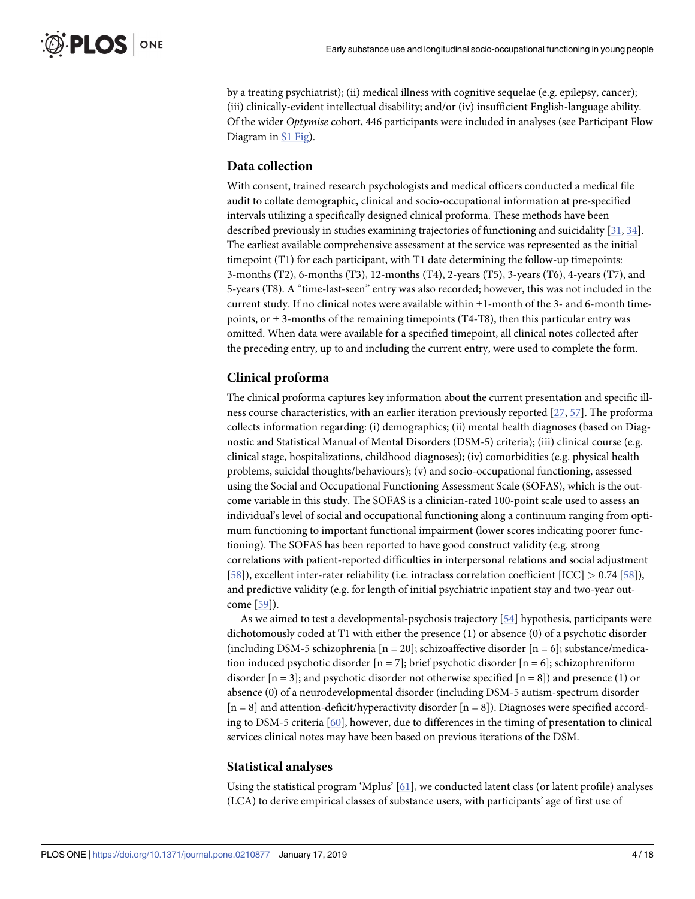<span id="page-4-0"></span>by a treating psychiatrist); (ii) medical illness with cognitive sequelae (e.g. epilepsy, cancer); (iii) clinically-evident intellectual disability; and/or (iv) insufficient English-language ability. Of the wider *Optymise* cohort, 446 participants were included in analyses (see Participant Flow Diagram in S1 [Fig](#page-11-0)).

#### **Data collection**

With consent, trained research psychologists and medical officers conducted a medical file audit to collate demographic, clinical and socio-occupational information at pre-specified intervals utilizing a specifically designed clinical proforma. These methods have been described previously in studies examining trajectories of functioning and suicidality [\[31,](#page-14-0) [34\]](#page-14-0). The earliest available comprehensive assessment at the service was represented as the initial timepoint (T1) for each participant, with T1 date determining the follow-up timepoints: 3-months (T2), 6-months (T3), 12-months (T4), 2-years (T5), 3-years (T6), 4-years (T7), and 5-years (T8). A "time-last-seen" entry was also recorded; however, this was not included in the current study. If no clinical notes were available within  $\pm 1$ -month of the 3- and 6-month timepoints, or  $\pm$  3-months of the remaining timepoints (T4-T8), then this particular entry was omitted. When data were available for a specified timepoint, all clinical notes collected after the preceding entry, up to and including the current entry, were used to complete the form.

#### **Clinical proforma**

The clinical proforma captures key information about the current presentation and specific illness course characteristics, with an earlier iteration previously reported [\[27,](#page-14-0) [57\]](#page-15-0). The proforma collects information regarding: (i) demographics; (ii) mental health diagnoses (based on Diagnostic and Statistical Manual of Mental Disorders (DSM-5) criteria); (iii) clinical course (e.g. clinical stage, hospitalizations, childhood diagnoses); (iv) comorbidities (e.g. physical health problems, suicidal thoughts/behaviours); (v) and socio-occupational functioning, assessed using the Social and Occupational Functioning Assessment Scale (SOFAS), which is the outcome variable in this study. The SOFAS is a clinician-rated 100-point scale used to assess an individual's level of social and occupational functioning along a continuum ranging from optimum functioning to important functional impairment (lower scores indicating poorer functioning). The SOFAS has been reported to have good construct validity (e.g. strong correlations with patient-reported difficulties in interpersonal relations and social adjustment [\[58\]](#page-15-0)), excellent inter-rater reliability (i.e. intraclass correlation coefficient [ICC] *>* 0.74 [\[58\]](#page-15-0)), and predictive validity (e.g. for length of initial psychiatric inpatient stay and two-year outcome [\[59\]](#page-15-0)).

As we aimed to test a developmental-psychosis trajectory [[54](#page-15-0)] hypothesis, participants were dichotomously coded at T1 with either the presence (1) or absence (0) of a psychotic disorder (including DSM-5 schizophrenia [n = 20]; schizoaffective disorder [n = 6]; substance/medication induced psychotic disorder  $[n = 7]$ ; brief psychotic disorder  $[n = 6]$ ; schizophreniform disorder  $[n = 3]$ ; and psychotic disorder not otherwise specified  $[n = 8]$ ) and presence (1) or absence (0) of a neurodevelopmental disorder (including DSM-5 autism-spectrum disorder  $[n = 8]$  and attention-deficit/hyperactivity disorder  $[n = 8]$ ). Diagnoses were specified according to DSM-5 criteria [[60](#page-15-0)], however, due to differences in the timing of presentation to clinical services clinical notes may have been based on previous iterations of the DSM.

#### **Statistical analyses**

Using the statistical program 'Mplus' [\[61\]](#page-15-0), we conducted latent class (or latent profile) analyses (LCA) to derive empirical classes of substance users, with participants' age of first use of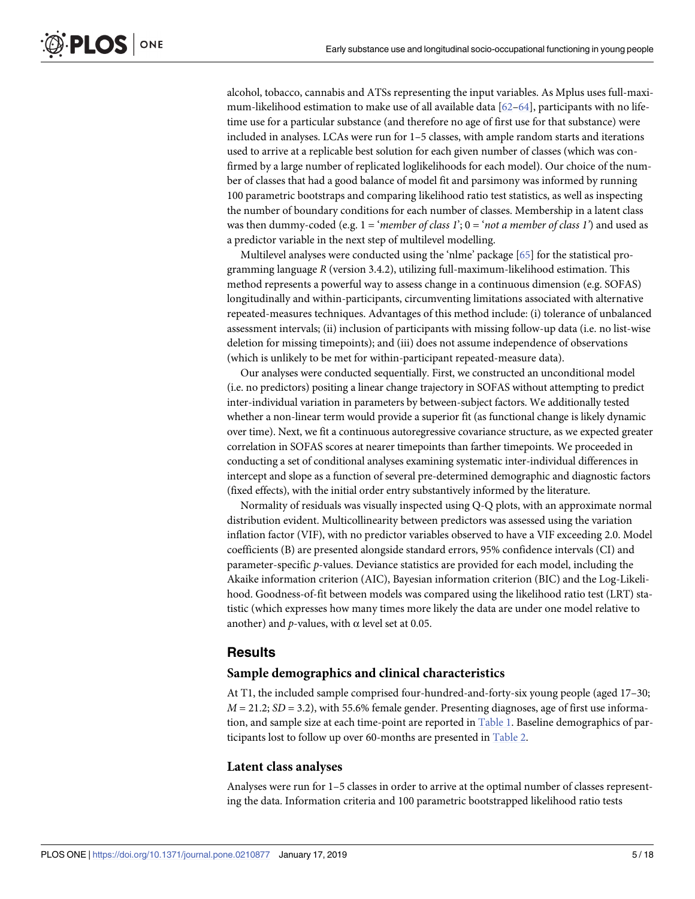<span id="page-5-0"></span>alcohol, tobacco, cannabis and ATSs representing the input variables. As Mplus uses full-maximum-likelihood estimation to make use of all available data  $[62-64]$ , participants with no lifetime use for a particular substance (and therefore no age of first use for that substance) were included in analyses. LCAs were run for 1–5 classes, with ample random starts and iterations used to arrive at a replicable best solution for each given number of classes (which was confirmed by a large number of replicated loglikelihoods for each model). Our choice of the number of classes that had a good balance of model fit and parsimony was informed by running 100 parametric bootstraps and comparing likelihood ratio test statistics, as well as inspecting the number of boundary conditions for each number of classes. Membership in a latent class was then dummy-coded (e.g. 1 = '*member of class 1*'; 0 = '*not a member of class 1'*) and used as a predictor variable in the next step of multilevel modelling.

Multilevel analyses were conducted using the 'nlme' package [[65](#page-15-0)] for the statistical programming language *R* (version 3.4.2), utilizing full-maximum-likelihood estimation. This method represents a powerful way to assess change in a continuous dimension (e.g. SOFAS) longitudinally and within-participants, circumventing limitations associated with alternative repeated-measures techniques. Advantages of this method include: (i) tolerance of unbalanced assessment intervals; (ii) inclusion of participants with missing follow-up data (i.e. no list-wise deletion for missing timepoints); and (iii) does not assume independence of observations (which is unlikely to be met for within-participant repeated-measure data).

Our analyses were conducted sequentially. First, we constructed an unconditional model (i.e. no predictors) positing a linear change trajectory in SOFAS without attempting to predict inter-individual variation in parameters by between-subject factors. We additionally tested whether a non-linear term would provide a superior fit (as functional change is likely dynamic over time). Next, we fit a continuous autoregressive covariance structure, as we expected greater correlation in SOFAS scores at nearer timepoints than farther timepoints. We proceeded in conducting a set of conditional analyses examining systematic inter-individual differences in intercept and slope as a function of several pre-determined demographic and diagnostic factors (fixed effects), with the initial order entry substantively informed by the literature.

Normality of residuals was visually inspected using Q-Q plots, with an approximate normal distribution evident. Multicollinearity between predictors was assessed using the variation inflation factor (VIF), with no predictor variables observed to have a VIF exceeding 2.0. Model coefficients (B) are presented alongside standard errors, 95% confidence intervals (CI) and parameter-specific *p*-values. Deviance statistics are provided for each model, including the Akaike information criterion (AIC), Bayesian information criterion (BIC) and the Log-Likelihood. Goodness-of-fit between models was compared using the likelihood ratio test (LRT) statistic (which expresses how many times more likely the data are under one model relative to another) and  $p$ -values, with  $\alpha$  level set at 0.05.

### **Results**

#### **Sample demographics and clinical characteristics**

At T1, the included sample comprised four-hundred-and-forty-six young people (aged 17–30;  $M = 21.2$ ; *SD* = 3.2), with 55.6% female gender. Presenting diagnoses, age of first use informa-tion, and sample size at each time-point are reported in [Table](#page-6-0) 1. Baseline demographics of participants lost to follow up over 60-months are presented in [Table](#page-7-0) 2.

#### **Latent class analyses**

Analyses were run for 1–5 classes in order to arrive at the optimal number of classes representing the data. Information criteria and 100 parametric bootstrapped likelihood ratio tests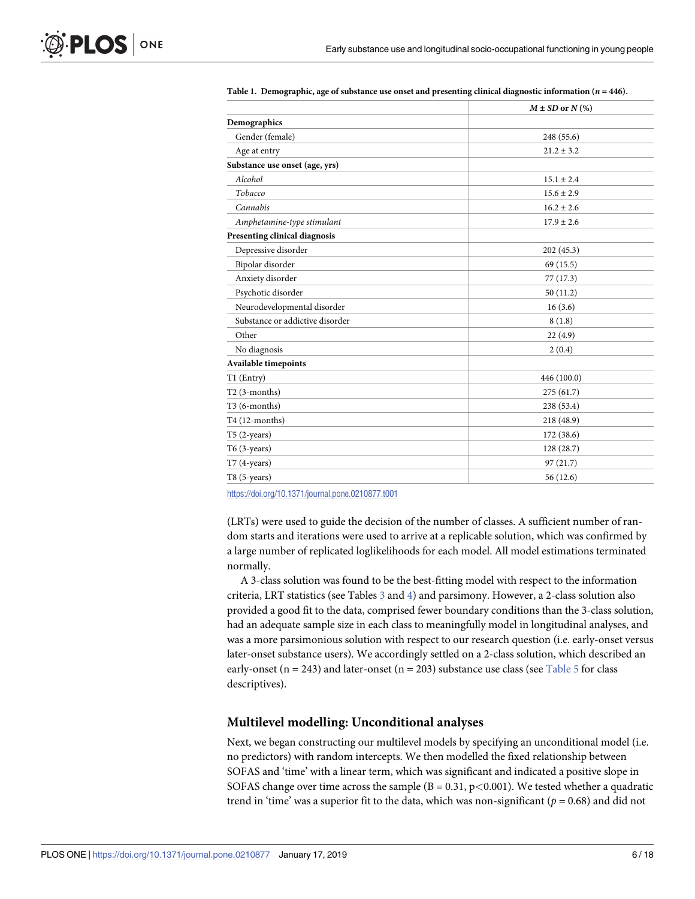<span id="page-6-0"></span>

|                                 | $M \pm SD$ or $N$ (%) |
|---------------------------------|-----------------------|
| Demographics                    |                       |
| Gender (female)                 | 248 (55.6)            |
| Age at entry                    | $21.2 \pm 3.2$        |
| Substance use onset (age, yrs)  |                       |
| Alcohol                         | $15.1 \pm 2.4$        |
| Tobacco                         | $15.6 \pm 2.9$        |
| Cannabis                        | $16.2 \pm 2.6$        |
| Amphetamine-type stimulant      | $17.9 \pm 2.6$        |
| Presenting clinical diagnosis   |                       |
| Depressive disorder             | 202 (45.3)            |
| Bipolar disorder                | 69 (15.5)             |
| Anxiety disorder                | 77(17.3)              |
| Psychotic disorder              | 50(11.2)              |
| Neurodevelopmental disorder     | 16(3.6)               |
| Substance or addictive disorder | 8(1.8)                |
| Other                           | 22(4.9)               |
| No diagnosis                    | 2(0.4)                |
| Available timepoints            |                       |
| T1 (Entry)                      | 446 (100.0)           |
| T2 (3-months)                   | 275(61.7)             |
| T <sub>3</sub> (6-months)       | 238 (53.4)            |
| $T4(12$ -months)                | 218 (48.9)            |
| T5 (2-years)                    | 172 (38.6)            |
| T6 (3-years)                    | 128 (28.7)            |
| $T7(4-years)$                   | 97(21.7)              |
| T8 (5-years)                    | 56 (12.6)             |

[Table](#page-5-0) 1. Demographic, age of substance use onset and presenting clinical diagnostic information ( $n = 446$ ).

<https://doi.org/10.1371/journal.pone.0210877.t001>

(LRTs) were used to guide the decision of the number of classes. A sufficient number of random starts and iterations were used to arrive at a replicable solution, which was confirmed by a large number of replicated loglikelihoods for each model. All model estimations terminated normally.

A 3-class solution was found to be the best-fitting model with respect to the information criteria, LRT statistics (see Tables [3](#page-7-0) and [4\)](#page-8-0) and parsimony. However, a 2-class solution also provided a good fit to the data, comprised fewer boundary conditions than the 3-class solution, had an adequate sample size in each class to meaningfully model in longitudinal analyses, and was a more parsimonious solution with respect to our research question (i.e. early-onset versus later-onset substance users). We accordingly settled on a 2-class solution, which described an early-onset ( $n = 243$ ) and later-onset ( $n = 203$ ) substance use class (see [Table](#page-8-0) 5 for class descriptives).

#### **Multilevel modelling: Unconditional analyses**

Next, we began constructing our multilevel models by specifying an unconditional model (i.e. no predictors) with random intercepts. We then modelled the fixed relationship between SOFAS and 'time' with a linear term, which was significant and indicated a positive slope in SOFAS change over time across the sample  $(B = 0.31, p < 0.001)$ . We tested whether a quadratic trend in 'time' was a superior fit to the data, which was non-significant ( $p = 0.68$ ) and did not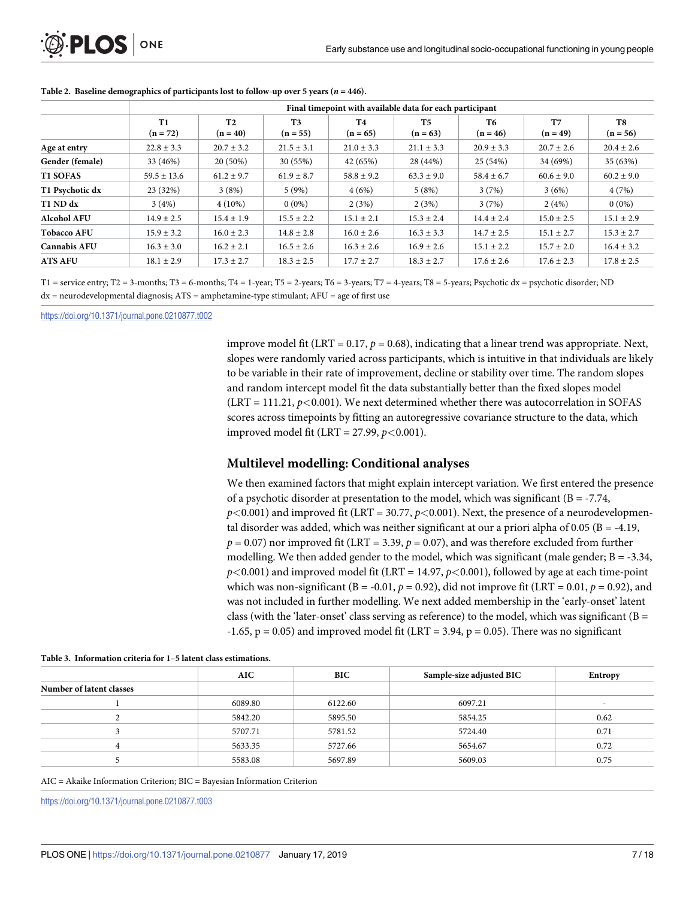<span id="page-7-0"></span>

|                     | Final timepoint with available data for each participant |                              |                  |                         |                  |                  |                  |                  |
|---------------------|----------------------------------------------------------|------------------------------|------------------|-------------------------|------------------|------------------|------------------|------------------|
|                     | T1<br>$(n = 72)$                                         | T <sub>2</sub><br>$(n = 40)$ | T3<br>$(n = 55)$ | <b>T4</b><br>$(n = 65)$ | T5<br>$(n = 63)$ | T6<br>$(n = 46)$ | T7<br>$(n = 49)$ | T8<br>$(n = 56)$ |
| Age at entry        | $22.8 \pm 3.3$                                           | $20.7 \pm 3.2$               | $21.5 \pm 3.1$   | $21.0 \pm 3.3$          | $21.1 \pm 3.3$   | $20.9 \pm 3.3$   | $20.7 \pm 2.6$   | $20.4 \pm 2.6$   |
| Gender (female)     | 33 (46%)                                                 | $20(50\%)$                   | 30(55%)          | 42 (65%)                | 28 (44%)         | 25(54%)          | 34 (69%)         | 35 (63%)         |
| <b>T1 SOFAS</b>     | $59.5 \pm 13.6$                                          | $61.2 \pm 9.7$               | $61.9 \pm 8.7$   | $58.8 \pm 9.2$          | $63.3 \pm 9.0$   | $58.4 \pm 6.7$   | $60.6 \pm 9.0$   | $60.2 \pm 9.0$   |
| T1 Psychotic dx     | 23 (32%)                                                 | 3(8%)                        | 5(9%)            | 4(6%)                   | 5(8%)            | 3(7%)            | 3(6%)            | 4(7%)            |
| T1 ND dx            | 3(4%)                                                    | $4(10\%)$                    | $0(0\%)$         | 2(3%)                   | 2(3%)            | 3(7%)            | 2(4%)            | $0(0\%)$         |
| <b>Alcohol AFU</b>  | $14.9 \pm 2.5$                                           | $15.4 \pm 1.9$               | $15.5 \pm 2.2$   | $15.1 \pm 2.1$          | $15.3 \pm 2.4$   | $14.4 \pm 2.4$   | $15.0 \pm 2.5$   | $15.1 \pm 2.9$   |
| <b>Tobacco AFU</b>  | $15.9 \pm 3.2$                                           | $16.0 \pm 2.3$               | $14.8 \pm 2.8$   | $16.0 \pm 2.6$          | $16.3 \pm 3.3$   | $14.7 \pm 2.5$   | $15.1 \pm 2.7$   | $15.3 \pm 2.7$   |
| <b>Cannabis AFU</b> | $16.3 \pm 3.0$                                           | $16.2 \pm 2.1$               | $16.5 \pm 2.6$   | $16.3 \pm 2.6$          | $16.9 \pm 2.6$   | $15.1 \pm 2.2$   | $15.7 \pm 2.0$   | $16.4 \pm 3.2$   |
| <b>ATS AFU</b>      | $18.1 \pm 2.9$                                           | $17.3 \pm 2.7$               | $18.3 \pm 2.5$   | $17.7 \pm 2.7$          | $18.3 \pm 2.7$   | $17.6 \pm 2.6$   | $17.6 \pm 2.3$   | $17.8 \pm 2.5$   |

#### **[Table](#page-5-0) 2. Baseline demographics of participants lost to follow-up over 5 years (***n* **= 446).**

 $T1$  = service entry;  $T2$  = 3-months;  $T3$  = 6-months;  $T4$  = 1-year;  $T5$  = 2-years;  $T6$  = 3-years;  $T7$  = 4-years;  $T8$  = 5-years; Psychotic dx = psychotic disorder; ND  $dx$  = neurodevelopmental diagnosis;  $ATS$  = amphetamine-type stimulant;  $AFU$  = age of first use

<https://doi.org/10.1371/journal.pone.0210877.t002>

improve model fit (LRT =  $0.17$ ,  $p = 0.68$ ), indicating that a linear trend was appropriate. Next, slopes were randomly varied across participants, which is intuitive in that individuals are likely to be variable in their rate of improvement, decline or stability over time. The random slopes and random intercept model fit the data substantially better than the fixed slopes model  $(LRT = 111.21, p < 0.001)$ . We next determined whether there was autocorrelation in SOFAS scores across timepoints by fitting an autoregressive covariance structure to the data, which improved model fit (LRT = 27.99, *p<*0.001).

#### **Multilevel modelling: Conditional analyses**

We then examined factors that might explain intercept variation. We first entered the presence of a psychotic disorder at presentation to the model, which was significant ( $B = -7.74$ ,  $p$ <sup> $lt$ </sup> $0.001$ ) and improved fit (LRT = 30.77,  $p$ <sup> $lt$ </sup> $0.001$ ). Next, the presence of a neurodevelopmental disorder was added, which was neither significant at our a priori alpha of 0.05 ( $B = -4.19$ ,  $p = 0.07$ ) nor improved fit (LRT = 3.39,  $p = 0.07$ ), and was therefore excluded from further modelling. We then added gender to the model, which was significant (male gender;  $B = -3.34$ ,  $p$ <sup> $lt$ </sup> $0.001$ ) and improved model fit (LRT = 14.97,  $p$ <sup> $lt$ </sup> $0.001$ ), followed by age at each time-point which was non-significant ( $B = -0.01$ ,  $p = 0.92$ ), did not improve fit (LRT = 0.01,  $p = 0.92$ ), and was not included in further modelling. We next added membership in the 'early-onset' latent class (with the 'later-onset' class serving as reference) to the model, which was significant ( $B =$  $-1.65$ ,  $p = 0.05$ ) and improved model fit (LRT = 3.94,  $p = 0.05$ ). There was no significant

|                          | AIC.    | BIC     | Sample-size adjusted BIC | Entropy |
|--------------------------|---------|---------|--------------------------|---------|
| Number of latent classes |         |         |                          |         |
|                          | 6089.80 | 6122.60 | 6097.21                  |         |
|                          | 5842.20 | 5895.50 | 5854.25                  | 0.62    |
|                          | 5707.71 | 5781.52 | 5724.40                  | 0.71    |
|                          | 5633.35 | 5727.66 | 5654.67                  | 0.72    |
|                          | 5583.08 | 5697.89 | 5609.03                  | 0.75    |

#### **[Table](#page-6-0) 3. Information criteria for 1–5 latent class estimations.**

AIC = Akaike Information Criterion; BIC = Bayesian Information Criterion

<https://doi.org/10.1371/journal.pone.0210877.t003>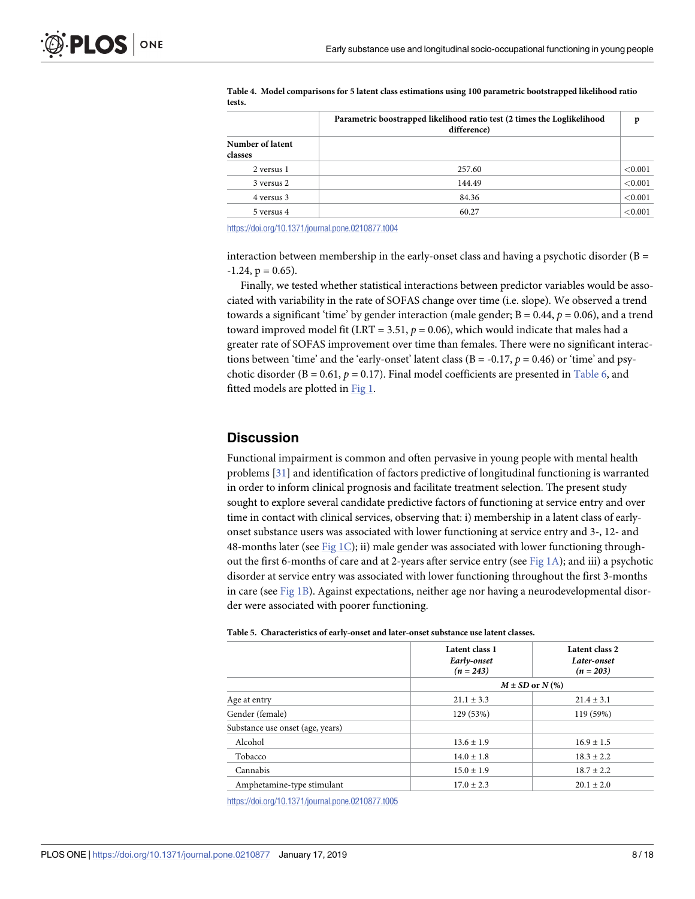|                             | Parametric boostrapped likelihood ratio test (2 times the Loglikelihood<br>difference) |         |
|-----------------------------|----------------------------------------------------------------------------------------|---------|
| Number of latent<br>classes |                                                                                        |         |
| 2 versus 1                  | 257.60                                                                                 | < 0.001 |
| 3 versus 2                  | 144.49                                                                                 | < 0.001 |
| 4 versus 3                  | 84.36                                                                                  | < 0.001 |
| 5 versus 4                  | 60.27                                                                                  | < 0.001 |

<span id="page-8-0"></span>**[Table](#page-6-0) 4. Model comparisons for 5 latent class estimations using 100 parametric bootstrapped likelihood ratio tests.**

<https://doi.org/10.1371/journal.pone.0210877.t004>

interaction between membership in the early-onset class and having a psychotic disorder  $(B =$  $-1.24$ ,  $p = 0.65$ ).

Finally, we tested whether statistical interactions between predictor variables would be associated with variability in the rate of SOFAS change over time (i.e. slope). We observed a trend towards a significant 'time' by gender interaction (male gender;  $B = 0.44$ ,  $p = 0.06$ ), and a trend toward improved model fit (LRT = 3.51,  $p = 0.06$ ), which would indicate that males had a greater rate of SOFAS improvement over time than females. There were no significant interactions between 'time' and the 'early-onset' latent class ( $B = -0.17$ ,  $p = 0.46$ ) or 'time' and psychotic disorder ( $B = 0.61$ ,  $p = 0.17$ ). Final model coefficients are presented in [Table](#page-9-0) 6, and fitted models are plotted in [Fig](#page-10-0) 1.

#### **Discussion**

Functional impairment is common and often pervasive in young people with mental health problems [\[31\]](#page-14-0) and identification of factors predictive of longitudinal functioning is warranted in order to inform clinical prognosis and facilitate treatment selection. The present study sought to explore several candidate predictive factors of functioning at service entry and over time in contact with clinical services, observing that: i) membership in a latent class of earlyonset substance users was associated with lower functioning at service entry and 3-, 12- and 48-months later (see [Fig](#page-10-0) 1C); ii) male gender was associated with lower functioning through-out the first 6-months of care and at 2-years after service entry (see [Fig](#page-10-0) 1A); and iii) a psychotic disorder at service entry was associated with lower functioning throughout the first 3-months in care (see [Fig](#page-10-0) 1B). Against expectations, neither age nor having a neurodevelopmental disorder were associated with poorer functioning.

|                                  | Latent class 1<br>Early-onset<br>$(n = 243)$ | Latent class 2<br>Later-onset<br>$(n = 203)$ |
|----------------------------------|----------------------------------------------|----------------------------------------------|
|                                  |                                              | $M \pm SD$ or $N$ (%)                        |
| Age at entry                     | $21.1 \pm 3.3$                               | $21.4 \pm 3.1$                               |
| Gender (female)                  | 129 (53%)                                    | 119 (59%)                                    |
| Substance use onset (age, years) |                                              |                                              |
| Alcohol                          | $13.6 \pm 1.9$                               | $16.9 \pm 1.5$                               |
| Tobacco                          | $14.0 \pm 1.8$                               | $18.3 \pm 2.2$                               |
| Cannabis                         | $15.0 \pm 1.9$                               | $18.7 \pm 2.2$                               |
| Amphetamine-type stimulant       | $17.0 \pm 2.3$                               | $20.1 \pm 2.0$                               |

<https://doi.org/10.1371/journal.pone.0210877.t005>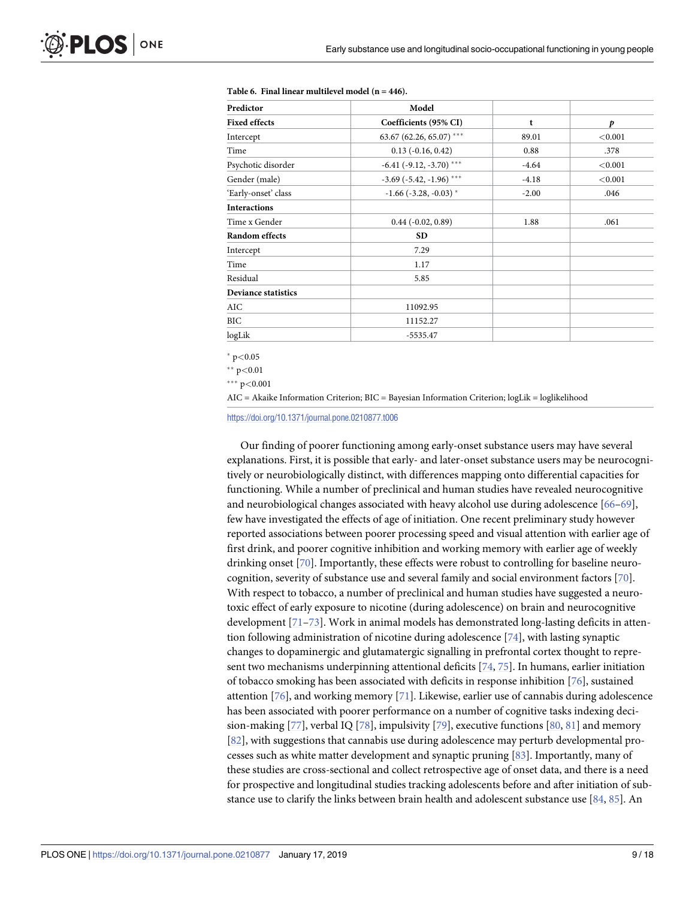| Predictor                  | Model                                        |         |         |  |
|----------------------------|----------------------------------------------|---------|---------|--|
| <b>Fixed effects</b>       | Coefficients (95% CI)                        | t       | p       |  |
| Intercept                  | 63.67 (62.26, 65.07) ***                     | 89.01   | < 0.001 |  |
| Time                       | $0.13$ (-0.16, 0.42)                         | 0.88    | .378    |  |
| Psychotic disorder         | $-6.41$ ( $-9.12$ , $-3.70$ ) <sup>***</sup> | $-4.64$ | < 0.001 |  |
| Gender (male)              | $-3.69$ ( $-5.42$ , $-1.96$ ) ***            | $-4.18$ | < 0.001 |  |
| 'Early-onset' class        | $-1.66$ ( $-3.28$ , $-0.03$ ) <sup>*</sup>   | $-2.00$ | .046    |  |
| <b>Interactions</b>        |                                              |         |         |  |
| Time x Gender              | $0.44$ ( $-0.02, 0.89$ )                     | 1.88    | .061    |  |
| <b>Random</b> effects      | <b>SD</b>                                    |         |         |  |
| Intercept                  | 7.29                                         |         |         |  |
| Time                       | 1.17                                         |         |         |  |
| Residual                   | 5.85                                         |         |         |  |
| <b>Deviance statistics</b> |                                              |         |         |  |
| AIC                        | 11092.95                                     |         |         |  |
| <b>BIC</b>                 | 11152.27                                     |         |         |  |
| logLik                     | $-5535.47$                                   |         |         |  |

<span id="page-9-0"></span>

|  | Table 6. Final linear multilevel model $(n = 446)$ . |  |  |  |
|--|------------------------------------------------------|--|--|--|
|--|------------------------------------------------------|--|--|--|

� p*<*0.05

�� p*<*0.01

��� p*<*0.001

AIC = Akaike Information Criterion; BIC = Bayesian Information Criterion; logLik = loglikelihood

<https://doi.org/10.1371/journal.pone.0210877.t006>

Our finding of poorer functioning among early-onset substance users may have several explanations. First, it is possible that early- and later-onset substance users may be neurocognitively or neurobiologically distinct, with differences mapping onto differential capacities for functioning. While a number of preclinical and human studies have revealed neurocognitive and neurobiological changes associated with heavy alcohol use during adolescence [\[66](#page-15-0)[–69\]](#page-16-0), few have investigated the effects of age of initiation. One recent preliminary study however reported associations between poorer processing speed and visual attention with earlier age of first drink, and poorer cognitive inhibition and working memory with earlier age of weekly drinking onset [\[70\]](#page-16-0). Importantly, these effects were robust to controlling for baseline neurocognition, severity of substance use and several family and social environment factors [[70](#page-16-0)]. With respect to tobacco, a number of preclinical and human studies have suggested a neurotoxic effect of early exposure to nicotine (during adolescence) on brain and neurocognitive development [\[71–73\]](#page-16-0). Work in animal models has demonstrated long-lasting deficits in attention following administration of nicotine during adolescence [\[74\]](#page-16-0), with lasting synaptic changes to dopaminergic and glutamatergic signalling in prefrontal cortex thought to represent two mechanisms underpinning attentional deficits [[74](#page-16-0), [75](#page-16-0)]. In humans, earlier initiation of tobacco smoking has been associated with deficits in response inhibition [\[76\]](#page-16-0), sustained attention [[76](#page-16-0)], and working memory [[71](#page-16-0)]. Likewise, earlier use of cannabis during adolescence has been associated with poorer performance on a number of cognitive tasks indexing decision-making [\[77\]](#page-16-0), verbal IQ [[78](#page-16-0)], impulsivity [\[79\]](#page-16-0), executive functions [\[80,](#page-16-0) [81\]](#page-16-0) and memory [\[82\]](#page-16-0), with suggestions that cannabis use during adolescence may perturb developmental processes such as white matter development and synaptic pruning [\[83\]](#page-16-0). Importantly, many of these studies are cross-sectional and collect retrospective age of onset data, and there is a need for prospective and longitudinal studies tracking adolescents before and after initiation of substance use to clarify the links between brain health and adolescent substance use [[84](#page-16-0), [85\]](#page-16-0). An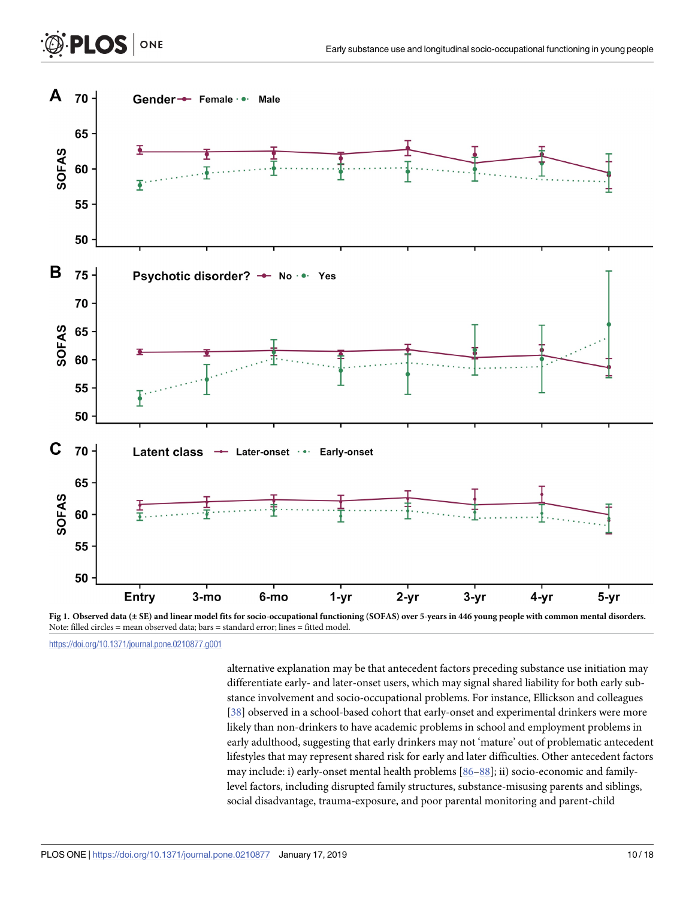<span id="page-10-0"></span>

[Fig](#page-8-0) 1. Observed data (± SE) and linear model fits for socio-occupational functioning (SOFAS) over 5-years in 446 young people with common mental disorders. Note: filled circles = mean observed data; bars = standard error; lines = fitted model.

<https://doi.org/10.1371/journal.pone.0210877.g001>

alternative explanation may be that antecedent factors preceding substance use initiation may differentiate early- and later-onset users, which may signal shared liability for both early substance involvement and socio-occupational problems. For instance, Ellickson and colleagues [\[38\]](#page-14-0) observed in a school-based cohort that early-onset and experimental drinkers were more likely than non-drinkers to have academic problems in school and employment problems in early adulthood, suggesting that early drinkers may not 'mature' out of problematic antecedent lifestyles that may represent shared risk for early and later difficulties. Other antecedent factors may include: i) early-onset mental health problems [[86](#page-17-0)–[88\]](#page-17-0); ii) socio-economic and familylevel factors, including disrupted family structures, substance-misusing parents and siblings, social disadvantage, trauma-exposure, and poor parental monitoring and parent-child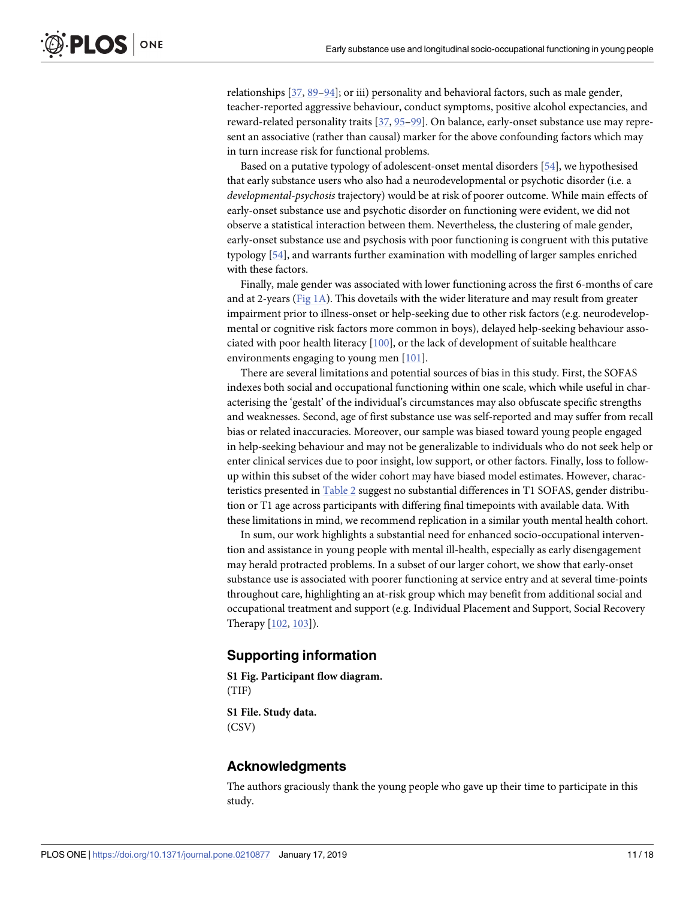<span id="page-11-0"></span>relationships [[37](#page-14-0), [89](#page-17-0)–[94](#page-17-0)]; or iii) personality and behavioral factors, such as male gender, teacher-reported aggressive behaviour, conduct symptoms, positive alcohol expectancies, and reward-related personality traits [\[37,](#page-14-0) [95–99\]](#page-17-0). On balance, early-onset substance use may represent an associative (rather than causal) marker for the above confounding factors which may in turn increase risk for functional problems.

Based on a putative typology of adolescent-onset mental disorders [[54](#page-15-0)], we hypothesised that early substance users who also had a neurodevelopmental or psychotic disorder (i.e. a *developmental-psychosis* trajectory) would be at risk of poorer outcome. While main effects of early-onset substance use and psychotic disorder on functioning were evident, we did not observe a statistical interaction between them. Nevertheless, the clustering of male gender, early-onset substance use and psychosis with poor functioning is congruent with this putative typology [\[54\]](#page-15-0), and warrants further examination with modelling of larger samples enriched with these factors.

Finally, male gender was associated with lower functioning across the first 6-months of care and at 2-years [\(Fig](#page-10-0) 1A). This dovetails with the wider literature and may result from greater impairment prior to illness-onset or help-seeking due to other risk factors (e.g. neurodevelopmental or cognitive risk factors more common in boys), delayed help-seeking behaviour associated with poor health literacy [[100\]](#page-17-0), or the lack of development of suitable healthcare environments engaging to young men [\[101\]](#page-17-0).

There are several limitations and potential sources of bias in this study. First, the SOFAS indexes both social and occupational functioning within one scale, which while useful in characterising the 'gestalt' of the individual's circumstances may also obfuscate specific strengths and weaknesses. Second, age of first substance use was self-reported and may suffer from recall bias or related inaccuracies. Moreover, our sample was biased toward young people engaged in help-seeking behaviour and may not be generalizable to individuals who do not seek help or enter clinical services due to poor insight, low support, or other factors. Finally, loss to followup within this subset of the wider cohort may have biased model estimates. However, characteristics presented in [Table](#page-7-0) 2 suggest no substantial differences in T1 SOFAS, gender distribution or T1 age across participants with differing final timepoints with available data. With these limitations in mind, we recommend replication in a similar youth mental health cohort.

In sum, our work highlights a substantial need for enhanced socio-occupational intervention and assistance in young people with mental ill-health, especially as early disengagement may herald protracted problems. In a subset of our larger cohort, we show that early-onset substance use is associated with poorer functioning at service entry and at several time-points throughout care, highlighting an at-risk group which may benefit from additional social and occupational treatment and support (e.g. Individual Placement and Support, Social Recovery Therapy [\[102](#page-17-0), [103\]](#page-18-0)).

### **Supporting information**

**S1 [Fig](http://www.plosone.org/article/fetchSingleRepresentation.action?uri=info:doi/10.1371/journal.pone.0210877.s001). Participant flow diagram.** (TIF)

**S1 [File.](http://www.plosone.org/article/fetchSingleRepresentation.action?uri=info:doi/10.1371/journal.pone.0210877.s002) Study data.** (CSV)

### **Acknowledgments**

The authors graciously thank the young people who gave up their time to participate in this study.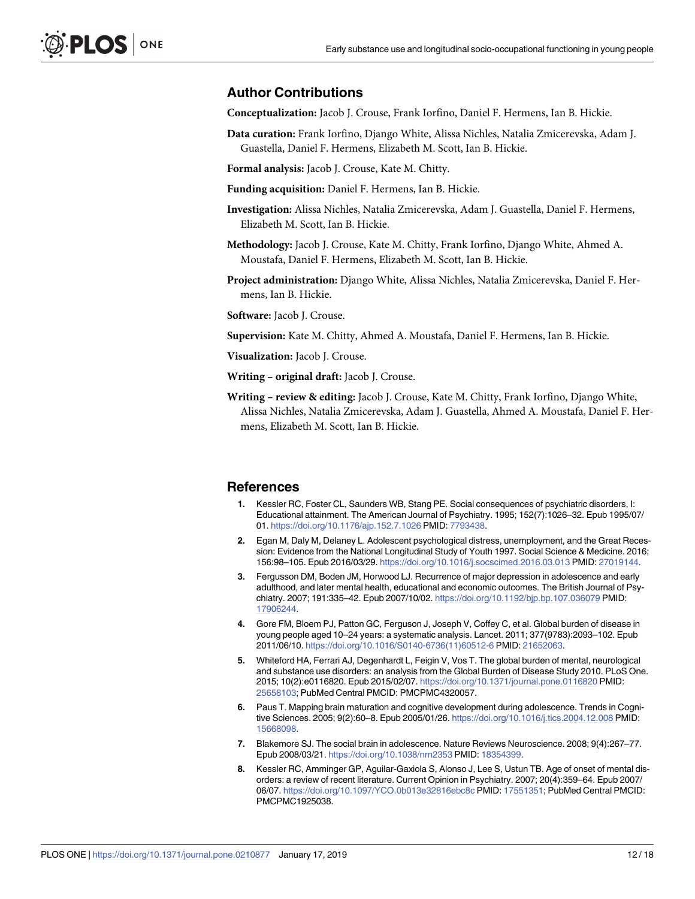#### <span id="page-12-0"></span>**Author Contributions**

**Conceptualization:** Jacob J. Crouse, Frank Iorfino, Daniel F. Hermens, Ian B. Hickie.

- **Data curation:** Frank Iorfino, Django White, Alissa Nichles, Natalia Zmicerevska, Adam J. Guastella, Daniel F. Hermens, Elizabeth M. Scott, Ian B. Hickie.
- **Formal analysis:** Jacob J. Crouse, Kate M. Chitty.
- **Funding acquisition:** Daniel F. Hermens, Ian B. Hickie.
- **Investigation:** Alissa Nichles, Natalia Zmicerevska, Adam J. Guastella, Daniel F. Hermens, Elizabeth M. Scott, Ian B. Hickie.
- **Methodology:** Jacob J. Crouse, Kate M. Chitty, Frank Iorfino, Django White, Ahmed A. Moustafa, Daniel F. Hermens, Elizabeth M. Scott, Ian B. Hickie.
- **Project administration:** Django White, Alissa Nichles, Natalia Zmicerevska, Daniel F. Hermens, Ian B. Hickie.

**Software:** Jacob J. Crouse.

**Supervision:** Kate M. Chitty, Ahmed A. Moustafa, Daniel F. Hermens, Ian B. Hickie.

**Visualization:** Jacob J. Crouse.

**Writing – original draft:** Jacob J. Crouse.

**Writing – review & editing:** Jacob J. Crouse, Kate M. Chitty, Frank Iorfino, Django White, Alissa Nichles, Natalia Zmicerevska, Adam J. Guastella, Ahmed A. Moustafa, Daniel F. Hermens, Elizabeth M. Scott, Ian B. Hickie.

#### **References**

- **[1.](#page-2-0)** Kessler RC, Foster CL, Saunders WB, Stang PE. Social consequences of psychiatric disorders, I: Educational attainment. The American Journal of Psychiatry. 1995; 152(7):1026–32. Epub 1995/07/ 01. <https://doi.org/10.1176/ajp.152.7.1026> PMID: [7793438](http://www.ncbi.nlm.nih.gov/pubmed/7793438).
- **[2.](#page-2-0)** Egan M, Daly M, Delaney L. Adolescent psychological distress, unemployment, and the Great Recession: Evidence from the National Longitudinal Study of Youth 1997. Social Science & Medicine. 2016; 156:98–105. Epub 2016/03/29. <https://doi.org/10.1016/j.socscimed.2016.03.013> PMID: [27019144.](http://www.ncbi.nlm.nih.gov/pubmed/27019144)
- **[3.](#page-2-0)** Fergusson DM, Boden JM, Horwood LJ. Recurrence of major depression in adolescence and early adulthood, and later mental health, educational and economic outcomes. The British Journal of Psychiatry. 2007; 191:335–42. Epub 2007/10/02. <https://doi.org/10.1192/bjp.bp.107.036079> PMID: [17906244.](http://www.ncbi.nlm.nih.gov/pubmed/17906244)
- **[4.](#page-2-0)** Gore FM, Bloem PJ, Patton GC, Ferguson J, Joseph V, Coffey C, et al. Global burden of disease in young people aged 10–24 years: a systematic analysis. Lancet. 2011; 377(9783):2093–102. Epub 2011/06/10. [https://doi.org/10.1016/S0140-6736\(11\)60512-6](https://doi.org/10.1016/S0140-6736(11)60512-6) PMID: [21652063.](http://www.ncbi.nlm.nih.gov/pubmed/21652063)
- **[5.](#page-2-0)** Whiteford HA, Ferrari AJ, Degenhardt L, Feigin V, Vos T. The global burden of mental, neurological and substance use disorders: an analysis from the Global Burden of Disease Study 2010. PLoS One. 2015; 10(2):e0116820. Epub 2015/02/07. <https://doi.org/10.1371/journal.pone.0116820> PMID: [25658103;](http://www.ncbi.nlm.nih.gov/pubmed/25658103) PubMed Central PMCID: PMCPMC4320057.
- **[6.](#page-2-0)** Paus T. Mapping brain maturation and cognitive development during adolescence. Trends in Cognitive Sciences. 2005; 9(2):60–8. Epub 2005/01/26. <https://doi.org/10.1016/j.tics.2004.12.008> PMID: [15668098.](http://www.ncbi.nlm.nih.gov/pubmed/15668098)
- **7.** Blakemore SJ. The social brain in adolescence. Nature Reviews Neuroscience. 2008; 9(4):267–77. Epub 2008/03/21. <https://doi.org/10.1038/nrn2353> PMID: [18354399](http://www.ncbi.nlm.nih.gov/pubmed/18354399).
- **8.** Kessler RC, Amminger GP, Aguilar-Gaxiola S, Alonso J, Lee S, Ustun TB. Age of onset of mental disorders: a review of recent literature. Current Opinion in Psychiatry. 2007; 20(4):359–64. Epub 2007/ 06/07. <https://doi.org/10.1097/YCO.0b013e32816ebc8c> PMID: [17551351;](http://www.ncbi.nlm.nih.gov/pubmed/17551351) PubMed Central PMCID: PMCPMC1925038.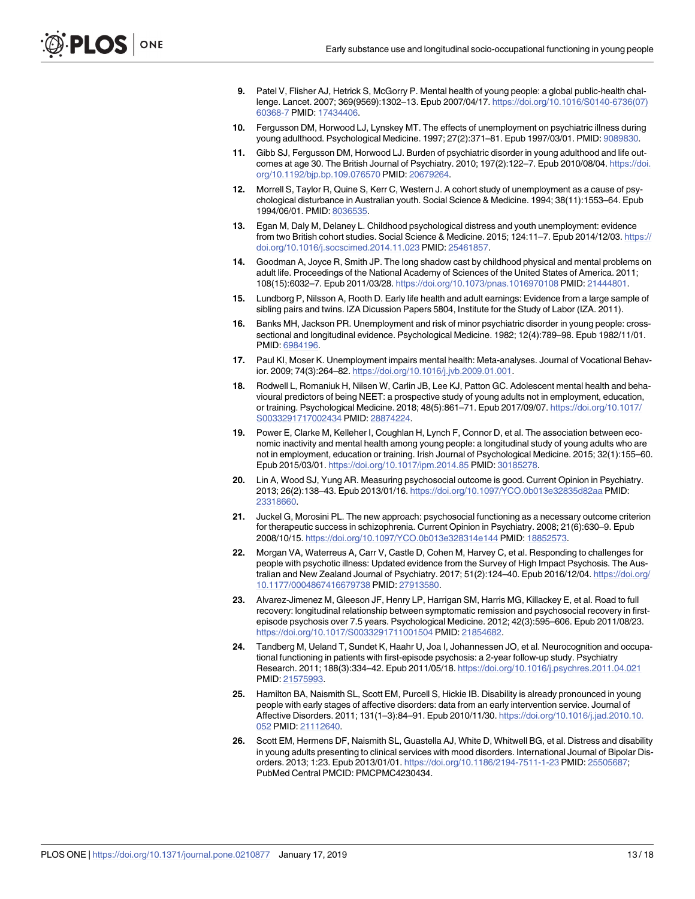- <span id="page-13-0"></span>**[9.](#page-2-0)** Patel V, Flisher AJ, Hetrick S, McGorry P. Mental health of young people: a global public-health challenge. Lancet. 2007; 369(9569):1302–13. Epub 2007/04/17. [https://doi.org/10.1016/S0140-6736\(07\)](https://doi.org/10.1016/S0140-6736(07)60368-7) [60368-7](https://doi.org/10.1016/S0140-6736(07)60368-7) PMID: [17434406](http://www.ncbi.nlm.nih.gov/pubmed/17434406).
- **[10.](#page-2-0)** Fergusson DM, Horwood LJ, Lynskey MT. The effects of unemployment on psychiatric illness during young adulthood. Psychological Medicine. 1997; 27(2):371–81. Epub 1997/03/01. PMID: [9089830](http://www.ncbi.nlm.nih.gov/pubmed/9089830).
- **11.** Gibb SJ, Fergusson DM, Horwood LJ. Burden of psychiatric disorder in young adulthood and life outcomes at age 30. The British Journal of Psychiatry. 2010; 197(2):122–7. Epub 2010/08/04. [https://doi.](https://doi.org/10.1192/bjp.bp.109.076570) [org/10.1192/bjp.bp.109.076570](https://doi.org/10.1192/bjp.bp.109.076570) PMID: [20679264.](http://www.ncbi.nlm.nih.gov/pubmed/20679264)
- **12.** Morrell S, Taylor R, Quine S, Kerr C, Western J. A cohort study of unemployment as a cause of psychological disturbance in Australian youth. Social Science & Medicine. 1994; 38(11):1553–64. Epub 1994/06/01. PMID: [8036535.](http://www.ncbi.nlm.nih.gov/pubmed/8036535)
- **13.** Egan M, Daly M, Delaney L. Childhood psychological distress and youth unemployment: evidence from two British cohort studies. Social Science & Medicine. 2015; 124:11–7. Epub 2014/12/03. [https://](https://doi.org/10.1016/j.socscimed.2014.11.023) [doi.org/10.1016/j.socscimed.2014.11.023](https://doi.org/10.1016/j.socscimed.2014.11.023) PMID: [25461857](http://www.ncbi.nlm.nih.gov/pubmed/25461857).
- **14.** Goodman A, Joyce R, Smith JP. The long shadow cast by childhood physical and mental problems on adult life. Proceedings of the National Academy of Sciences of the United States of America. 2011; 108(15):6032–7. Epub 2011/03/28. <https://doi.org/10.1073/pnas.1016970108> PMID: [21444801.](http://www.ncbi.nlm.nih.gov/pubmed/21444801)
- **15.** Lundborg P, Nilsson A, Rooth D. Early life health and adult earnings: Evidence from a large sample of sibling pairs and twins. IZA Dicussion Papers 5804, Institute for the Study of Labor (IZA. 2011).
- **16.** Banks MH, Jackson PR. Unemployment and risk of minor psychiatric disorder in young people: crosssectional and longitudinal evidence. Psychological Medicine. 1982; 12(4):789–98. Epub 1982/11/01. PMID: [6984196](http://www.ncbi.nlm.nih.gov/pubmed/6984196).
- **17.** Paul KI, Moser K. Unemployment impairs mental health: Meta-analyses. Journal of Vocational Behavior. 2009; 74(3):264–82. <https://doi.org/10.1016/j.jvb.2009.01.001>.
- **18.** Rodwell L, Romaniuk H, Nilsen W, Carlin JB, Lee KJ, Patton GC. Adolescent mental health and behavioural predictors of being NEET: a prospective study of young adults not in employment, education, or training. Psychological Medicine. 2018; 48(5):861–71. Epub 2017/09/07. [https://doi.org/10.1017/](https://doi.org/10.1017/S0033291717002434) [S0033291717002434](https://doi.org/10.1017/S0033291717002434) PMID: [28874224](http://www.ncbi.nlm.nih.gov/pubmed/28874224).
- **[19.](#page-2-0)** Power E, Clarke M, Kelleher I, Coughlan H, Lynch F, Connor D, et al. The association between economic inactivity and mental health among young people: a longitudinal study of young adults who are not in employment, education or training. Irish Journal of Psychological Medicine. 2015; 32(1):155–60. Epub 2015/03/01. <https://doi.org/10.1017/ipm.2014.85> PMID: [30185278](http://www.ncbi.nlm.nih.gov/pubmed/30185278).
- **[20.](#page-2-0)** Lin A, Wood SJ, Yung AR. Measuring psychosocial outcome is good. Current Opinion in Psychiatry. 2013; 26(2):138–43. Epub 2013/01/16. <https://doi.org/10.1097/YCO.0b013e32835d82aa> PMID: [23318660.](http://www.ncbi.nlm.nih.gov/pubmed/23318660)
- **[21.](#page-2-0)** Juckel G, Morosini PL. The new approach: psychosocial functioning as a necessary outcome criterion for therapeutic success in schizophrenia. Current Opinion in Psychiatry. 2008; 21(6):630–9. Epub 2008/10/15. <https://doi.org/10.1097/YCO.0b013e328314e144> PMID: [18852573](http://www.ncbi.nlm.nih.gov/pubmed/18852573).
- **[22.](#page-2-0)** Morgan VA, Waterreus A, Carr V, Castle D, Cohen M, Harvey C, et al. Responding to challenges for people with psychotic illness: Updated evidence from the Survey of High Impact Psychosis. The Australian and New Zealand Journal of Psychiatry. 2017; 51(2):124–40. Epub 2016/12/04. [https://doi.org/](https://doi.org/10.1177/0004867416679738) [10.1177/0004867416679738](https://doi.org/10.1177/0004867416679738) PMID: [27913580.](http://www.ncbi.nlm.nih.gov/pubmed/27913580)
- **[23.](#page-2-0)** Alvarez-Jimenez M, Gleeson JF, Henry LP, Harrigan SM, Harris MG, Killackey E, et al. Road to full recovery: longitudinal relationship between symptomatic remission and psychosocial recovery in firstepisode psychosis over 7.5 years. Psychological Medicine. 2012; 42(3):595–606. Epub 2011/08/23. <https://doi.org/10.1017/S0033291711001504> PMID: [21854682.](http://www.ncbi.nlm.nih.gov/pubmed/21854682)
- **[24.](#page-2-0)** Tandberg M, Ueland T, Sundet K, Haahr U, Joa I, Johannessen JO, et al. Neurocognition and occupational functioning in patients with first-episode psychosis: a 2-year follow-up study. Psychiatry Research. 2011; 188(3):334–42. Epub 2011/05/18. <https://doi.org/10.1016/j.psychres.2011.04.021> PMID: [21575993.](http://www.ncbi.nlm.nih.gov/pubmed/21575993)
- **[25.](#page-2-0)** Hamilton BA, Naismith SL, Scott EM, Purcell S, Hickie IB. Disability is already pronounced in young people with early stages of affective disorders: data from an early intervention service. Journal of Affective Disorders. 2011; 131(1–3):84–91. Epub 2010/11/30. [https://doi.org/10.1016/j.jad.2010.10.](https://doi.org/10.1016/j.jad.2010.10.052) [052](https://doi.org/10.1016/j.jad.2010.10.052) PMID: [21112640.](http://www.ncbi.nlm.nih.gov/pubmed/21112640)
- **26.** Scott EM, Hermens DF, Naismith SL, Guastella AJ, White D, Whitwell BG, et al. Distress and disability in young adults presenting to clinical services with mood disorders. International Journal of Bipolar Disorders. 2013; 1:23. Epub 2013/01/01. <https://doi.org/10.1186/2194-7511-1-23> PMID: [25505687](http://www.ncbi.nlm.nih.gov/pubmed/25505687); PubMed Central PMCID: PMCPMC4230434.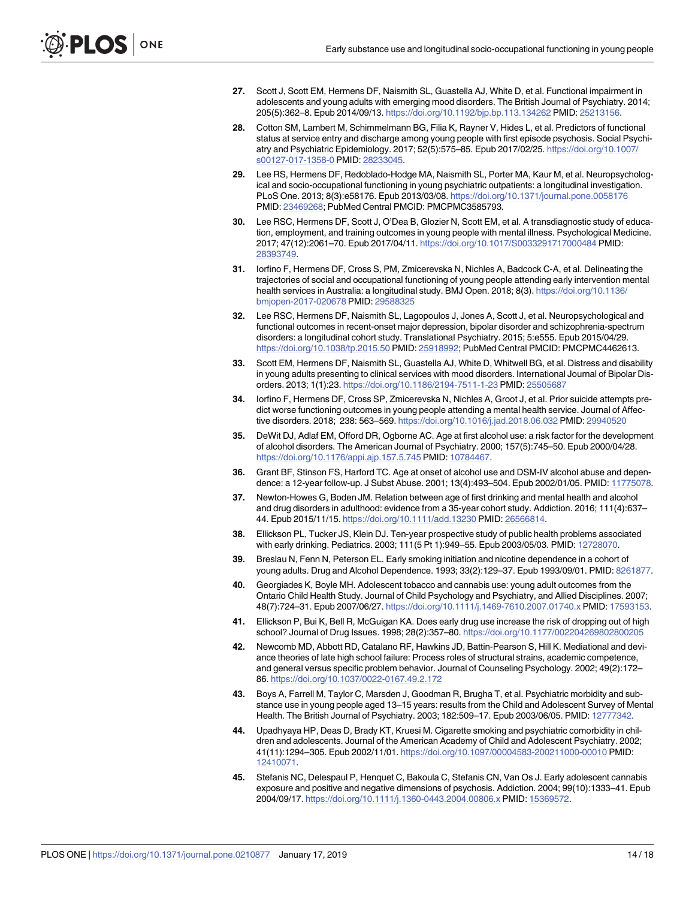- <span id="page-14-0"></span>**[27.](#page-2-0)** Scott J, Scott EM, Hermens DF, Naismith SL, Guastella AJ, White D, et al. Functional impairment in adolescents and young adults with emerging mood disorders. The British Journal of Psychiatry. 2014; 205(5):362–8. Epub 2014/09/13. <https://doi.org/10.1192/bjp.bp.113.134262> PMID: [25213156](http://www.ncbi.nlm.nih.gov/pubmed/25213156).
- **[28.](#page-2-0)** Cotton SM, Lambert M, Schimmelmann BG, Filia K, Rayner V, Hides L, et al. Predictors of functional status at service entry and discharge among young people with first episode psychosis. Social Psychiatry and Psychiatric Epidemiology. 2017; 52(5):575–85. Epub 2017/02/25. [https://doi.org/10.1007/](https://doi.org/10.1007/s00127-017-1358-0) [s00127-017-1358-0](https://doi.org/10.1007/s00127-017-1358-0) PMID: [28233045.](http://www.ncbi.nlm.nih.gov/pubmed/28233045)
- **29.** Lee RS, Hermens DF, Redoblado-Hodge MA, Naismith SL, Porter MA, Kaur M, et al. Neuropsychological and socio-occupational functioning in young psychiatric outpatients: a longitudinal investigation. PLoS One. 2013; 8(3):e58176. Epub 2013/03/08. <https://doi.org/10.1371/journal.pone.0058176> PMID: [23469268;](http://www.ncbi.nlm.nih.gov/pubmed/23469268) PubMed Central PMCID: PMCPMC3585793.
- **[30.](#page-2-0)** Lee RSC, Hermens DF, Scott J, O'Dea B, Glozier N, Scott EM, et al. A transdiagnostic study of education, employment, and training outcomes in young people with mental illness. Psychological Medicine. 2017; 47(12):2061–70. Epub 2017/04/11. <https://doi.org/10.1017/S0033291717000484> PMID: [28393749.](http://www.ncbi.nlm.nih.gov/pubmed/28393749)
- **[31.](#page-2-0)** Iorfino F, Hermens DF, Cross S, PM, Zmicerevska N, Nichles A, Badcock C-A, et al. Delineating the trajectories of social and occupational functioning of young people attending early intervention mental health services in Australia: a longitudinal study. BMJ Open. 2018; 8(3). [https://doi.org/10.1136/](https://doi.org/10.1136/bmjopen-2017-020678) [bmjopen-2017-020678](https://doi.org/10.1136/bmjopen-2017-020678) PMID: [29588325](http://www.ncbi.nlm.nih.gov/pubmed/29588325)
- **32.** Lee RSC, Hermens DF, Naismith SL, Lagopoulos J, Jones A, Scott J, et al. Neuropsychological and functional outcomes in recent-onset major depression, bipolar disorder and schizophrenia-spectrum disorders: a longitudinal cohort study. Translational Psychiatry. 2015; 5:e555. Epub 2015/04/29. <https://doi.org/10.1038/tp.2015.50> PMID: [25918992](http://www.ncbi.nlm.nih.gov/pubmed/25918992); PubMed Central PMCID: PMCPMC4462613.
- **33.** Scott EM, Hermens DF, Naismith SL, Guastella AJ, White D, Whitwell BG, et al. Distress and disability in young adults presenting to clinical services with mood disorders. International Journal of Bipolar Disorders. 2013; 1(1):23. <https://doi.org/10.1186/2194-7511-1-23> PMID: [25505687](http://www.ncbi.nlm.nih.gov/pubmed/25505687)
- **[34.](#page-2-0)** Iorfino F, Hermens DF, Cross SP, Zmicerevska N, Nichles A, Groot J, et al. Prior suicide attempts predict worse functioning outcomes in young people attending a mental health service. Journal of Affective disorders. 2018; 238: 563–569. <https://doi.org/10.1016/j.jad.2018.06.032> PMID: [29940520](http://www.ncbi.nlm.nih.gov/pubmed/29940520)
- **[35.](#page-2-0)** DeWit DJ, Adlaf EM, Offord DR, Ogborne AC. Age at first alcohol use: a risk factor for the development of alcohol disorders. The American Journal of Psychiatry. 2000; 157(5):745–50. Epub 2000/04/28. <https://doi.org/10.1176/appi.ajp.157.5.745> PMID: [10784467](http://www.ncbi.nlm.nih.gov/pubmed/10784467).
- **36.** Grant BF, Stinson FS, Harford TC. Age at onset of alcohol use and DSM-IV alcohol abuse and dependence: a 12-year follow-up. J Subst Abuse. 2001; 13(4):493–504. Epub 2002/01/05. PMID: [11775078.](http://www.ncbi.nlm.nih.gov/pubmed/11775078)
- **[37.](#page-11-0)** Newton-Howes G, Boden JM. Relation between age of first drinking and mental health and alcohol and drug disorders in adulthood: evidence from a 35-year cohort study. Addiction. 2016; 111(4):637– 44. Epub 2015/11/15. <https://doi.org/10.1111/add.13230> PMID: [26566814](http://www.ncbi.nlm.nih.gov/pubmed/26566814).
- **[38.](#page-2-0)** Ellickson PL, Tucker JS, Klein DJ. Ten-year prospective study of public health problems associated with early drinking. Pediatrics. 2003; 111(5 Pt 1):949–55. Epub 2003/05/03. PMID: [12728070](http://www.ncbi.nlm.nih.gov/pubmed/12728070).
- **[39.](#page-2-0)** Breslau N, Fenn N, Peterson EL. Early smoking initiation and nicotine dependence in a cohort of young adults. Drug and Alcohol Dependence. 1993; 33(2):129–37. Epub 1993/09/01. PMID: [8261877](http://www.ncbi.nlm.nih.gov/pubmed/8261877).
- **40.** Georgiades K, Boyle MH. Adolescent tobacco and cannabis use: young adult outcomes from the Ontario Child Health Study. Journal of Child Psychology and Psychiatry, and Allied Disciplines. 2007; 48(7):724–31. Epub 2007/06/27. <https://doi.org/10.1111/j.1469-7610.2007.01740.x> PMID: [17593153](http://www.ncbi.nlm.nih.gov/pubmed/17593153).
- **41.** Ellickson P, Bui K, Bell R, McGuigan KA. Does early drug use increase the risk of dropping out of high school? Journal of Drug Issues. 1998; 28(2):357–80. <https://doi.org/10.1177/002204269802800205>
- **42.** Newcomb MD, Abbott RD, Catalano RF, Hawkins JD, Battin-Pearson S, Hill K. Mediational and deviance theories of late high school failure: Process roles of structural strains, academic competence, and general versus specific problem behavior. Journal of Counseling Psychology. 2002; 49(2):172– 86. <https://doi.org/10.1037/0022-0167.49.2.172>
- **43.** Boys A, Farrell M, Taylor C, Marsden J, Goodman R, Brugha T, et al. Psychiatric morbidity and substance use in young people aged 13–15 years: results from the Child and Adolescent Survey of Mental Health. The British Journal of Psychiatry. 2003; 182:509–17. Epub 2003/06/05. PMID: [12777342.](http://www.ncbi.nlm.nih.gov/pubmed/12777342)
- **[44.](#page-2-0)** Upadhyaya HP, Deas D, Brady KT, Kruesi M. Cigarette smoking and psychiatric comorbidity in children and adolescents. Journal of the American Academy of Child and Adolescent Psychiatry. 2002; 41(11):1294–305. Epub 2002/11/01. <https://doi.org/10.1097/00004583-200211000-00010> PMID: [12410071.](http://www.ncbi.nlm.nih.gov/pubmed/12410071)
- **[45.](#page-2-0)** Stefanis NC, Delespaul P, Henquet C, Bakoula C, Stefanis CN, Van Os J. Early adolescent cannabis exposure and positive and negative dimensions of psychosis. Addiction. 2004; 99(10):1333–41. Epub 2004/09/17. <https://doi.org/10.1111/j.1360-0443.2004.00806.x> PMID: [15369572](http://www.ncbi.nlm.nih.gov/pubmed/15369572).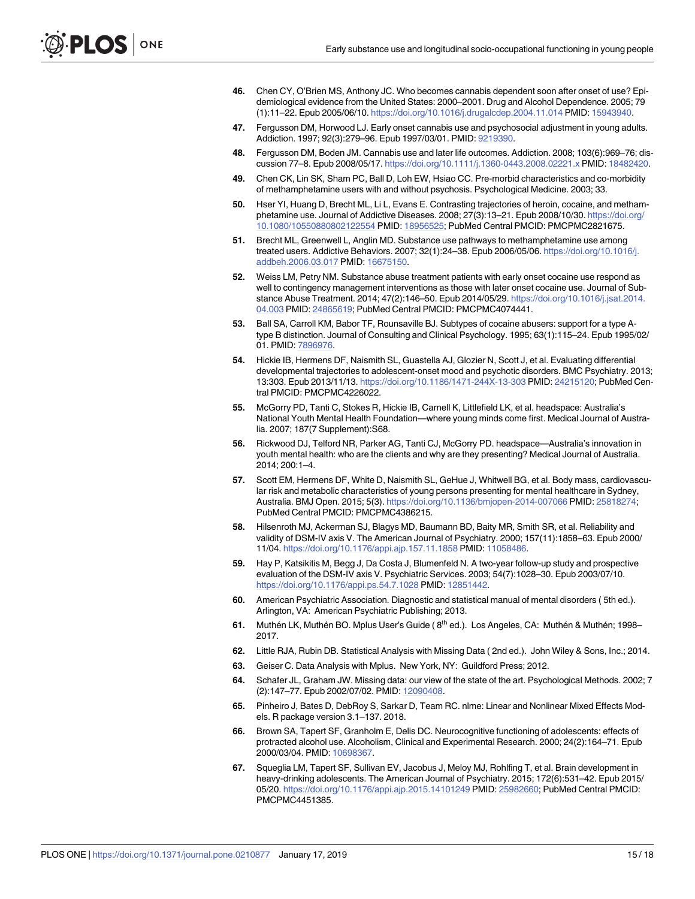- <span id="page-15-0"></span>**46.** Chen CY, O'Brien MS, Anthony JC. Who becomes cannabis dependent soon after onset of use? Epidemiological evidence from the United States: 2000–2001. Drug and Alcohol Dependence. 2005; 79 (1):11–22. Epub 2005/06/10. <https://doi.org/10.1016/j.drugalcdep.2004.11.014> PMID: [15943940](http://www.ncbi.nlm.nih.gov/pubmed/15943940).
- **47.** Fergusson DM, Horwood LJ. Early onset cannabis use and psychosocial adjustment in young adults. Addiction. 1997; 92(3):279–96. Epub 1997/03/01. PMID: [9219390](http://www.ncbi.nlm.nih.gov/pubmed/9219390).
- **[48.](#page-2-0)** Fergusson DM, Boden JM. Cannabis use and later life outcomes. Addiction. 2008; 103(6):969–76; discussion 77–8. Epub 2008/05/17. <https://doi.org/10.1111/j.1360-0443.2008.02221.x> PMID: [18482420](http://www.ncbi.nlm.nih.gov/pubmed/18482420).
- **[49.](#page-2-0)** Chen CK, Lin SK, Sham PC, Ball D, Loh EW, Hsiao CC. Pre-morbid characteristics and co-morbidity of methamphetamine users with and without psychosis. Psychological Medicine. 2003; 33.
- **50.** Hser YI, Huang D, Brecht ML, Li L, Evans E. Contrasting trajectories of heroin, cocaine, and methamphetamine use. Journal of Addictive Diseases. 2008; 27(3):13–21. Epub 2008/10/30. [https://doi.org/](https://doi.org/10.1080/10550880802122554) [10.1080/10550880802122554](https://doi.org/10.1080/10550880802122554) PMID: [18956525](http://www.ncbi.nlm.nih.gov/pubmed/18956525); PubMed Central PMCID: PMCPMC2821675.
- **[51.](#page-2-0)** Brecht ML, Greenwell L, Anglin MD. Substance use pathways to methamphetamine use among treated users. Addictive Behaviors. 2007; 32(1):24–38. Epub 2006/05/06. [https://doi.org/10.1016/j.](https://doi.org/10.1016/j.addbeh.2006.03.017) [addbeh.2006.03.017](https://doi.org/10.1016/j.addbeh.2006.03.017) PMID: [16675150](http://www.ncbi.nlm.nih.gov/pubmed/16675150).
- **[52.](#page-2-0)** Weiss LM, Petry NM. Substance abuse treatment patients with early onset cocaine use respond as well to contingency management interventions as those with later onset cocaine use. Journal of Substance Abuse Treatment. 2014; 47(2):146–50. Epub 2014/05/29. [https://doi.org/10.1016/j.jsat.2014.](https://doi.org/10.1016/j.jsat.2014.04.003) [04.003](https://doi.org/10.1016/j.jsat.2014.04.003) PMID: [24865619](http://www.ncbi.nlm.nih.gov/pubmed/24865619); PubMed Central PMCID: PMCPMC4074441.
- **[53.](#page-2-0)** Ball SA, Carroll KM, Babor TF, Rounsaville BJ. Subtypes of cocaine abusers: support for a type Atype B distinction. Journal of Consulting and Clinical Psychology. 1995; 63(1):115–24. Epub 1995/02/ 01. PMID: [7896976](http://www.ncbi.nlm.nih.gov/pubmed/7896976).
- **[54.](#page-3-0)** Hickie IB, Hermens DF, Naismith SL, Guastella AJ, Glozier N, Scott J, et al. Evaluating differential developmental trajectories to adolescent-onset mood and psychotic disorders. BMC Psychiatry. 2013; 13:303. Epub 2013/11/13. <https://doi.org/10.1186/1471-244X-13-303> PMID: [24215120;](http://www.ncbi.nlm.nih.gov/pubmed/24215120) PubMed Central PMCID: PMCPMC4226022.
- **[55.](#page-3-0)** McGorry PD, Tanti C, Stokes R, Hickie IB, Carnell K, Littlefield LK, et al. headspace: Australia's National Youth Mental Health Foundation—where young minds come first. Medical Journal of Australia. 2007; 187(7 Supplement):S68.
- **[56.](#page-3-0)** Rickwood DJ, Telford NR, Parker AG, Tanti CJ, McGorry PD. headspace—Australia's innovation in youth mental health: who are the clients and why are they presenting? Medical Journal of Australia. 2014; 200:1–4.
- **[57.](#page-4-0)** Scott EM, Hermens DF, White D, Naismith SL, GeHue J, Whitwell BG, et al. Body mass, cardiovascular risk and metabolic characteristics of young persons presenting for mental healthcare in Sydney, Australia. BMJ Open. 2015; 5(3). <https://doi.org/10.1136/bmjopen-2014-007066> PMID: [25818274;](http://www.ncbi.nlm.nih.gov/pubmed/25818274) PubMed Central PMCID: PMCPMC4386215.
- **[58.](#page-4-0)** Hilsenroth MJ, Ackerman SJ, Blagys MD, Baumann BD, Baity MR, Smith SR, et al. Reliability and validity of DSM-IV axis V. The American Journal of Psychiatry. 2000; 157(11):1858–63. Epub 2000/ 11/04. <https://doi.org/10.1176/appi.ajp.157.11.1858> PMID: [11058486.](http://www.ncbi.nlm.nih.gov/pubmed/11058486)
- **[59.](#page-4-0)** Hay P, Katsikitis M, Begg J, Da Costa J, Blumenfeld N. A two-year follow-up study and prospective evaluation of the DSM-IV axis V. Psychiatric Services. 2003; 54(7):1028–30. Epub 2003/07/10. <https://doi.org/10.1176/appi.ps.54.7.1028> PMID: [12851442](http://www.ncbi.nlm.nih.gov/pubmed/12851442).
- **[60.](#page-4-0)** American Psychiatric Association. Diagnostic and statistical manual of mental disorders ( 5th ed.). Arlington, VA: American Psychiatric Publishing; 2013.
- [61.](#page-4-0) Muthén LK, Muthén BO. Mplus User's Guide (8<sup>th</sup> ed.). Los Angeles, CA: Muthén & Muthén; 1998– 2017.
- **[62.](#page-5-0)** Little RJA, Rubin DB. Statistical Analysis with Missing Data ( 2nd ed.). John Wiley & Sons, Inc.; 2014.
- **63.** Geiser C. Data Analysis with Mplus. New York, NY: Guildford Press; 2012.
- **[64.](#page-5-0)** Schafer JL, Graham JW. Missing data: our view of the state of the art. Psychological Methods. 2002; 7 (2):147–77. Epub 2002/07/02. PMID: [12090408](http://www.ncbi.nlm.nih.gov/pubmed/12090408).
- **[65.](#page-5-0)** Pinheiro J, Bates D, DebRoy S, Sarkar D, Team RC. nlme: Linear and Nonlinear Mixed Effects Models. R package version 3.1–137. 2018.
- **[66.](#page-9-0)** Brown SA, Tapert SF, Granholm E, Delis DC. Neurocognitive functioning of adolescents: effects of protracted alcohol use. Alcoholism, Clinical and Experimental Research. 2000; 24(2):164–71. Epub 2000/03/04. PMID: [10698367.](http://www.ncbi.nlm.nih.gov/pubmed/10698367)
- **67.** Squeglia LM, Tapert SF, Sullivan EV, Jacobus J, Meloy MJ, Rohlfing T, et al. Brain development in heavy-drinking adolescents. The American Journal of Psychiatry. 2015; 172(6):531–42. Epub 2015/ 05/20. <https://doi.org/10.1176/appi.ajp.2015.14101249> PMID: [25982660;](http://www.ncbi.nlm.nih.gov/pubmed/25982660) PubMed Central PMCID: PMCPMC4451385.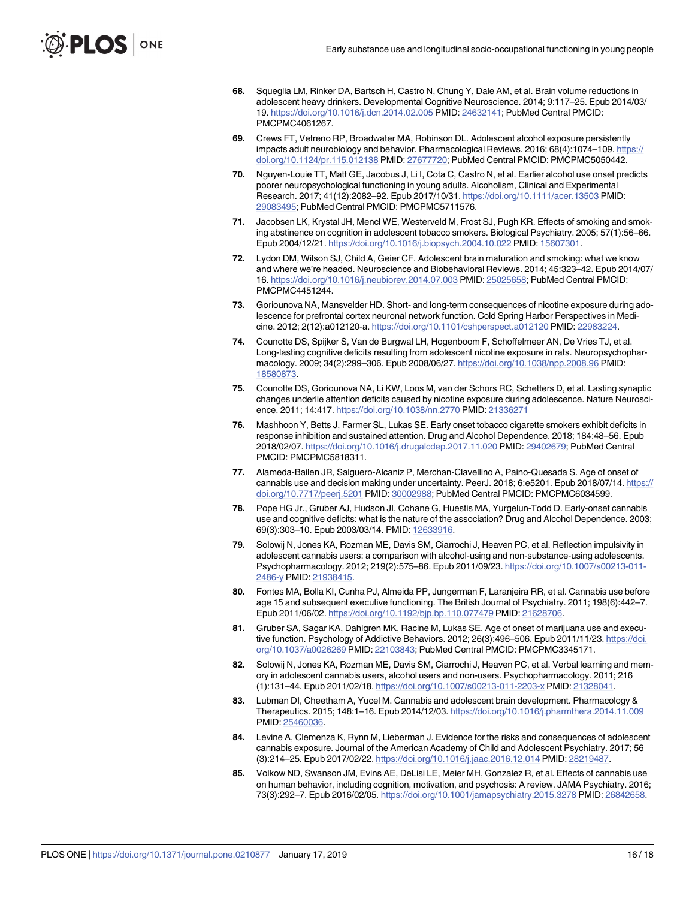- <span id="page-16-0"></span>**68.** Squeglia LM, Rinker DA, Bartsch H, Castro N, Chung Y, Dale AM, et al. Brain volume reductions in adolescent heavy drinkers. Developmental Cognitive Neuroscience. 2014; 9:117–25. Epub 2014/03/ 19. <https://doi.org/10.1016/j.dcn.2014.02.005> PMID: [24632141;](http://www.ncbi.nlm.nih.gov/pubmed/24632141) PubMed Central PMCID: PMCPMC4061267.
- **[69.](#page-9-0)** Crews FT, Vetreno RP, Broadwater MA, Robinson DL. Adolescent alcohol exposure persistently impacts adult neurobiology and behavior. Pharmacological Reviews. 2016; 68(4):1074–109. [https://](https://doi.org/10.1124/pr.115.012138) [doi.org/10.1124/pr.115.012138](https://doi.org/10.1124/pr.115.012138) PMID: [27677720;](http://www.ncbi.nlm.nih.gov/pubmed/27677720) PubMed Central PMCID: PMCPMC5050442.
- **[70.](#page-9-0)** Nguyen-Louie TT, Matt GE, Jacobus J, Li I, Cota C, Castro N, et al. Earlier alcohol use onset predicts poorer neuropsychological functioning in young adults. Alcoholism, Clinical and Experimental Research. 2017; 41(12):2082–92. Epub 2017/10/31. <https://doi.org/10.1111/acer.13503> PMID: [29083495;](http://www.ncbi.nlm.nih.gov/pubmed/29083495) PubMed Central PMCID: PMCPMC5711576.
- **[71.](#page-9-0)** Jacobsen LK, Krystal JH, Mencl WE, Westerveld M, Frost SJ, Pugh KR. Effects of smoking and smoking abstinence on cognition in adolescent tobacco smokers. Biological Psychiatry. 2005; 57(1):56–66. Epub 2004/12/21. <https://doi.org/10.1016/j.biopsych.2004.10.022> PMID: [15607301](http://www.ncbi.nlm.nih.gov/pubmed/15607301).
- **72.** Lydon DM, Wilson SJ, Child A, Geier CF. Adolescent brain maturation and smoking: what we know and where we're headed. Neuroscience and Biobehavioral Reviews. 2014; 45:323–42. Epub 2014/07/ 16. <https://doi.org/10.1016/j.neubiorev.2014.07.003> PMID: [25025658;](http://www.ncbi.nlm.nih.gov/pubmed/25025658) PubMed Central PMCID: PMCPMC4451244.
- **[73.](#page-9-0)** Goriounova NA, Mansvelder HD. Short- and long-term consequences of nicotine exposure during adolescence for prefrontal cortex neuronal network function. Cold Spring Harbor Perspectives in Medicine. 2012; 2(12):a012120-a. <https://doi.org/10.1101/cshperspect.a012120> PMID: [22983224.](http://www.ncbi.nlm.nih.gov/pubmed/22983224)
- **[74.](#page-9-0)** Counotte DS, Spijker S, Van de Burgwal LH, Hogenboom F, Schoffelmeer AN, De Vries TJ, et al. Long-lasting cognitive deficits resulting from adolescent nicotine exposure in rats. Neuropsychopharmacology. 2009; 34(2):299–306. Epub 2008/06/27. <https://doi.org/10.1038/npp.2008.96> PMID: [18580873.](http://www.ncbi.nlm.nih.gov/pubmed/18580873)
- **[75.](#page-9-0)** Counotte DS, Goriounova NA, Li KW, Loos M, van der Schors RC, Schetters D, et al. Lasting synaptic changes underlie attention deficits caused by nicotine exposure during adolescence. Nature Neuroscience. 2011; 14:417. <https://doi.org/10.1038/nn.2770> PMID: [21336271](http://www.ncbi.nlm.nih.gov/pubmed/21336271)
- **[76.](#page-9-0)** Mashhoon Y, Betts J, Farmer SL, Lukas SE. Early onset tobacco cigarette smokers exhibit deficits in response inhibition and sustained attention. Drug and Alcohol Dependence. 2018; 184:48–56. Epub 2018/02/07. <https://doi.org/10.1016/j.drugalcdep.2017.11.020> PMID: [29402679;](http://www.ncbi.nlm.nih.gov/pubmed/29402679) PubMed Central PMCID: PMCPMC5818311.
- **[77.](#page-9-0)** Alameda-Bailen JR, Salguero-Alcaniz P, Merchan-Clavellino A, Paino-Quesada S. Age of onset of cannabis use and decision making under uncertainty. PeerJ. 2018; 6:e5201. Epub 2018/07/14. [https://](https://doi.org/10.7717/peerj.5201) [doi.org/10.7717/peerj.5201](https://doi.org/10.7717/peerj.5201) PMID: [30002988](http://www.ncbi.nlm.nih.gov/pubmed/30002988); PubMed Central PMCID: PMCPMC6034599.
- **[78.](#page-9-0)** Pope HG Jr., Gruber AJ, Hudson JI, Cohane G, Huestis MA, Yurgelun-Todd D. Early-onset cannabis use and cognitive deficits: what is the nature of the association? Drug and Alcohol Dependence. 2003; 69(3):303–10. Epub 2003/03/14. PMID: [12633916.](http://www.ncbi.nlm.nih.gov/pubmed/12633916)
- **[79.](#page-9-0)** Solowij N, Jones KA, Rozman ME, Davis SM, Ciarrochi J, Heaven PC, et al. Reflection impulsivity in adolescent cannabis users: a comparison with alcohol-using and non-substance-using adolescents. Psychopharmacology. 2012; 219(2):575–86. Epub 2011/09/23. [https://doi.org/10.1007/s00213-011-](https://doi.org/10.1007/s00213-011-2486-y) [2486-y](https://doi.org/10.1007/s00213-011-2486-y) PMID: [21938415](http://www.ncbi.nlm.nih.gov/pubmed/21938415).
- **[80.](#page-9-0)** Fontes MA, Bolla KI, Cunha PJ, Almeida PP, Jungerman F, Laranjeira RR, et al. Cannabis use before age 15 and subsequent executive functioning. The British Journal of Psychiatry. 2011; 198(6):442–7. Epub 2011/06/02. <https://doi.org/10.1192/bjp.bp.110.077479> PMID: [21628706](http://www.ncbi.nlm.nih.gov/pubmed/21628706).
- **[81.](#page-9-0)** Gruber SA, Sagar KA, Dahlgren MK, Racine M, Lukas SE. Age of onset of marijuana use and executive function. Psychology of Addictive Behaviors. 2012; 26(3):496–506. Epub 2011/11/23. [https://doi.](https://doi.org/10.1037/a0026269) [org/10.1037/a0026269](https://doi.org/10.1037/a0026269) PMID: [22103843](http://www.ncbi.nlm.nih.gov/pubmed/22103843); PubMed Central PMCID: PMCPMC3345171.
- **[82.](#page-9-0)** Solowij N, Jones KA, Rozman ME, Davis SM, Ciarrochi J, Heaven PC, et al. Verbal learning and memory in adolescent cannabis users, alcohol users and non-users. Psychopharmacology. 2011; 216 (1):131–44. Epub 2011/02/18. <https://doi.org/10.1007/s00213-011-2203-x> PMID: [21328041](http://www.ncbi.nlm.nih.gov/pubmed/21328041).
- **[83.](#page-9-0)** Lubman DI, Cheetham A, Yucel M. Cannabis and adolescent brain development. Pharmacology & Therapeutics. 2015; 148:1–16. Epub 2014/12/03. <https://doi.org/10.1016/j.pharmthera.2014.11.009> PMID: [25460036.](http://www.ncbi.nlm.nih.gov/pubmed/25460036)
- **[84.](#page-9-0)** Levine A, Clemenza K, Rynn M, Lieberman J. Evidence for the risks and consequences of adolescent cannabis exposure. Journal of the American Academy of Child and Adolescent Psychiatry. 2017; 56 (3):214–25. Epub 2017/02/22. <https://doi.org/10.1016/j.jaac.2016.12.014> PMID: [28219487](http://www.ncbi.nlm.nih.gov/pubmed/28219487).
- **[85.](#page-9-0)** Volkow ND, Swanson JM, Evins AE, DeLisi LE, Meier MH, Gonzalez R, et al. Effects of cannabis use on human behavior, including cognition, motivation, and psychosis: A review. JAMA Psychiatry. 2016; 73(3):292–7. Epub 2016/02/05. <https://doi.org/10.1001/jamapsychiatry.2015.3278> PMID: [26842658](http://www.ncbi.nlm.nih.gov/pubmed/26842658).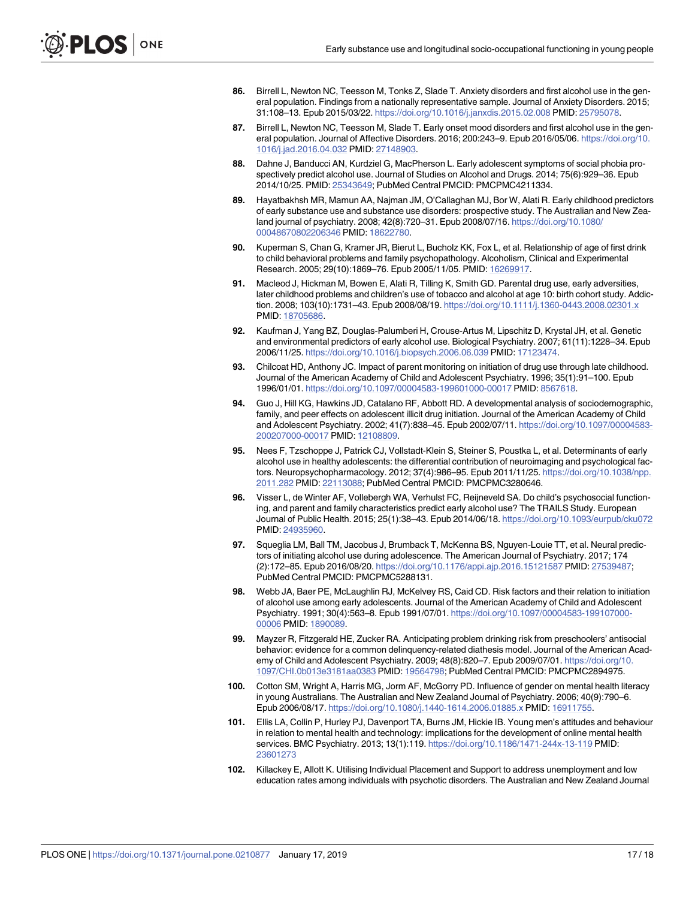- <span id="page-17-0"></span>**[86.](#page-10-0)** Birrell L, Newton NC, Teesson M, Tonks Z, Slade T. Anxiety disorders and first alcohol use in the general population. Findings from a nationally representative sample. Journal of Anxiety Disorders. 2015; 31:108–13. Epub 2015/03/22. <https://doi.org/10.1016/j.janxdis.2015.02.008> PMID: [25795078](http://www.ncbi.nlm.nih.gov/pubmed/25795078).
- **87.** Birrell L, Newton NC, Teesson M, Slade T. Early onset mood disorders and first alcohol use in the general population. Journal of Affective Disorders. 2016; 200:243–9. Epub 2016/05/06. [https://doi.org/10.](https://doi.org/10.1016/j.jad.2016.04.032) [1016/j.jad.2016.04.032](https://doi.org/10.1016/j.jad.2016.04.032) PMID: [27148903](http://www.ncbi.nlm.nih.gov/pubmed/27148903).
- **[88.](#page-10-0)** Dahne J, Banducci AN, Kurdziel G, MacPherson L. Early adolescent symptoms of social phobia prospectively predict alcohol use. Journal of Studies on Alcohol and Drugs. 2014; 75(6):929–36. Epub 2014/10/25. PMID: [25343649;](http://www.ncbi.nlm.nih.gov/pubmed/25343649) PubMed Central PMCID: PMCPMC4211334.
- **[89.](#page-11-0)** Hayatbakhsh MR, Mamun AA, Najman JM, O'Callaghan MJ, Bor W, Alati R. Early childhood predictors of early substance use and substance use disorders: prospective study. The Australian and New Zealand journal of psychiatry. 2008; 42(8):720–31. Epub 2008/07/16. [https://doi.org/10.1080/](https://doi.org/10.1080/00048670802206346) [00048670802206346](https://doi.org/10.1080/00048670802206346) PMID: [18622780.](http://www.ncbi.nlm.nih.gov/pubmed/18622780)
- **90.** Kuperman S, Chan G, Kramer JR, Bierut L, Bucholz KK, Fox L, et al. Relationship of age of first drink to child behavioral problems and family psychopathology. Alcoholism, Clinical and Experimental Research. 2005; 29(10):1869-76. Epub 2005/11/05. PMID: [16269917](http://www.ncbi.nlm.nih.gov/pubmed/16269917).
- **91.** Macleod J, Hickman M, Bowen E, Alati R, Tilling K, Smith GD. Parental drug use, early adversities, later childhood problems and children's use of tobacco and alcohol at age 10: birth cohort study. Addiction. 2008; 103(10):1731–43. Epub 2008/08/19. <https://doi.org/10.1111/j.1360-0443.2008.02301.x> PMID: [18705686.](http://www.ncbi.nlm.nih.gov/pubmed/18705686)
- **92.** Kaufman J, Yang BZ, Douglas-Palumberi H, Crouse-Artus M, Lipschitz D, Krystal JH, et al. Genetic and environmental predictors of early alcohol use. Biological Psychiatry. 2007; 61(11):1228–34. Epub 2006/11/25. <https://doi.org/10.1016/j.biopsych.2006.06.039> PMID: [17123474.](http://www.ncbi.nlm.nih.gov/pubmed/17123474)
- **93.** Chilcoat HD, Anthony JC. Impact of parent monitoring on initiation of drug use through late childhood. Journal of the American Academy of Child and Adolescent Psychiatry. 1996; 35(1):91–100. Epub 1996/01/01. <https://doi.org/10.1097/00004583-199601000-00017> PMID: [8567618](http://www.ncbi.nlm.nih.gov/pubmed/8567618).
- **[94.](#page-11-0)** Guo J, Hill KG, Hawkins JD, Catalano RF, Abbott RD. A developmental analysis of sociodemographic, family, and peer effects on adolescent illicit drug initiation. Journal of the American Academy of Child and Adolescent Psychiatry. 2002; 41(7):838–45. Epub 2002/07/11. [https://doi.org/10.1097/00004583-](https://doi.org/10.1097/00004583-200207000-00017) [200207000-00017](https://doi.org/10.1097/00004583-200207000-00017) PMID: [12108809](http://www.ncbi.nlm.nih.gov/pubmed/12108809).
- **[95.](#page-11-0)** Nees F, Tzschoppe J, Patrick CJ, Vollstadt-Klein S, Steiner S, Poustka L, et al. Determinants of early alcohol use in healthy adolescents: the differential contribution of neuroimaging and psychological factors. Neuropsychopharmacology. 2012; 37(4):986–95. Epub 2011/11/25. [https://doi.org/10.1038/npp.](https://doi.org/10.1038/npp.2011.282) [2011.282](https://doi.org/10.1038/npp.2011.282) PMID: [22113088](http://www.ncbi.nlm.nih.gov/pubmed/22113088); PubMed Central PMCID: PMCPMC3280646.
- **96.** Visser L, de Winter AF, Vollebergh WA, Verhulst FC, Reijneveld SA. Do child's psychosocial functioning, and parent and family characteristics predict early alcohol use? The TRAILS Study. European Journal of Public Health. 2015; 25(1):38–43. Epub 2014/06/18. <https://doi.org/10.1093/eurpub/cku072> PMID: [24935960.](http://www.ncbi.nlm.nih.gov/pubmed/24935960)
- **97.** Squeglia LM, Ball TM, Jacobus J, Brumback T, McKenna BS, Nguyen-Louie TT, et al. Neural predictors of initiating alcohol use during adolescence. The American Journal of Psychiatry. 2017; 174 (2):172–85. Epub 2016/08/20. <https://doi.org/10.1176/appi.ajp.2016.15121587> PMID: [27539487](http://www.ncbi.nlm.nih.gov/pubmed/27539487); PubMed Central PMCID: PMCPMC5288131.
- **98.** Webb JA, Baer PE, McLaughlin RJ, McKelvey RS, Caid CD. Risk factors and their relation to initiation of alcohol use among early adolescents. Journal of the American Academy of Child and Adolescent Psychiatry. 1991; 30(4):563–8. Epub 1991/07/01. [https://doi.org/10.1097/00004583-199107000-](https://doi.org/10.1097/00004583-199107000-00006) [00006](https://doi.org/10.1097/00004583-199107000-00006) PMID: [1890089.](http://www.ncbi.nlm.nih.gov/pubmed/1890089)
- **[99.](#page-11-0)** Mayzer R, Fitzgerald HE, Zucker RA. Anticipating problem drinking risk from preschoolers' antisocial behavior: evidence for a common delinquency-related diathesis model. Journal of the American Academy of Child and Adolescent Psychiatry. 2009; 48(8):820-7. Epub 2009/07/01. [https://doi.org/10.](https://doi.org/10.1097/CHI.0b013e3181aa0383) [1097/CHI.0b013e3181aa0383](https://doi.org/10.1097/CHI.0b013e3181aa0383) PMID: [19564798;](http://www.ncbi.nlm.nih.gov/pubmed/19564798) PubMed Central PMCID: PMCPMC2894975.
- **[100.](#page-11-0)** Cotton SM, Wright A, Harris MG, Jorm AF, McGorry PD. Influence of gender on mental health literacy in young Australians. The Australian and New Zealand Journal of Psychiatry. 2006; 40(9):790–6. Epub 2006/08/17. <https://doi.org/10.1080/j.1440-1614.2006.01885.x> PMID: [16911755.](http://www.ncbi.nlm.nih.gov/pubmed/16911755)
- **[101.](#page-11-0)** Ellis LA, Collin P, Hurley PJ, Davenport TA, Burns JM, Hickie IB. Young men's attitudes and behaviour in relation to mental health and technology: implications for the development of online mental health services. BMC Psychiatry. 2013; 13(1):119. <https://doi.org/10.1186/1471-244x-13-119> PMID: [23601273](http://www.ncbi.nlm.nih.gov/pubmed/23601273)
- **[102.](#page-11-0)** Killackey E, Allott K. Utilising Individual Placement and Support to address unemployment and low education rates among individuals with psychotic disorders. The Australian and New Zealand Journal